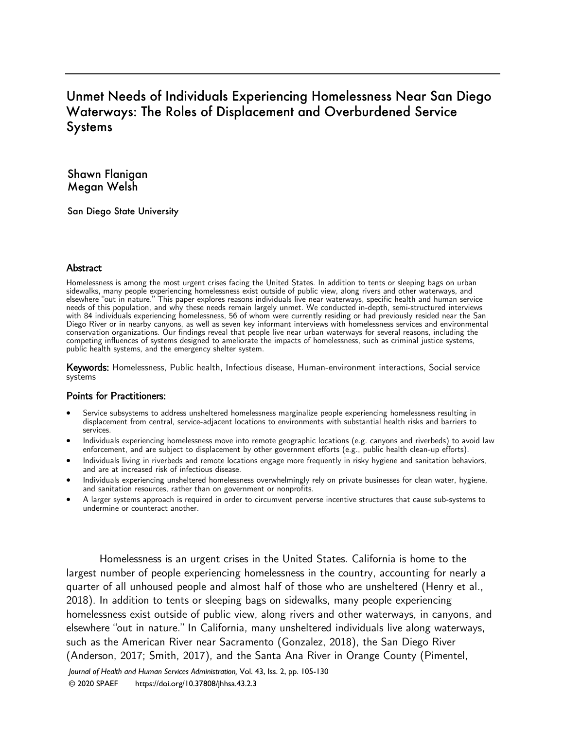# Unmet Needs of Individuals Experiencing Homelessness Near San Diego Waterways: The Roles of Displacement and Overburdened Service **Systems**

Shawn Flanigan Megan Welsh

San Diego State University

#### **Abstract**

Homelessness is among the most urgent crises facing the United States. In addition to tents or sleeping bags on urban sidewalks, many people experiencing homelessness exist outside of public view, along rivers and other waterways, and elsewhere "out in nature." This paper explores reasons individuals live near waterways, specific health and human service needs of this population, and why these needs remain largely unmet. We conducted in-depth, semi-structured interviews with 84 individuals experiencing homelessness, 56 of whom were currently residing or had previously resided near the San Diego River or in nearby canyons, as well as seven key informant interviews with homelessness services and environmental conservation organizations. Our findings reveal that people live near urban waterways for several reasons, including the competing influences of systems designed to ameliorate the impacts of homelessness, such as criminal justice systems, public health systems, and the emergency shelter system.

Keywords: Homelessness, Public health, Infectious disease, Human-environment interactions, Social service systems

#### Points for Practitioners:

- Service subsystems to address unsheltered homelessness marginalize people experiencing homelessness resulting in displacement from central, service-adjacent locations to environments with substantial health risks and barriers to services.
- Individuals experiencing homelessness move into remote geographic locations (e.g. canyons and riverbeds) to avoid law enforcement, and are subject to displacement by other government efforts (e.g., public health clean-up efforts).
- Individuals living in riverbeds and remote locations engage more frequently in risky hygiene and sanitation behaviors, and are at increased risk of infectious disease.
- Individuals experiencing unsheltered homelessness overwhelmingly rely on private businesses for clean water, hygiene, and sanitation resources, rather than on government or nonprofits.
- A larger systems approach is required in order to circumvent perverse incentive structures that cause sub-systems to undermine or counteract another.

Homelessness is an urgent crises in the United States. California is home to the largest number of people experiencing homelessness in the country, accounting for nearly a quarter of all unhoused people and almost half of those who are unsheltered (Henry et al., 2018). In addition to tents or sleeping bags on sidewalks, many people experiencing homelessness exist outside of public view, along rivers and other waterways, in canyons, and elsewhere "out in nature." In California, many unsheltered individuals live along waterways, such as the American River near Sacramento (Gonzalez, 2018), the San Diego River (Anderson, 2017; Smith, 2017), and the Santa Ana River in Orange County (Pimentel,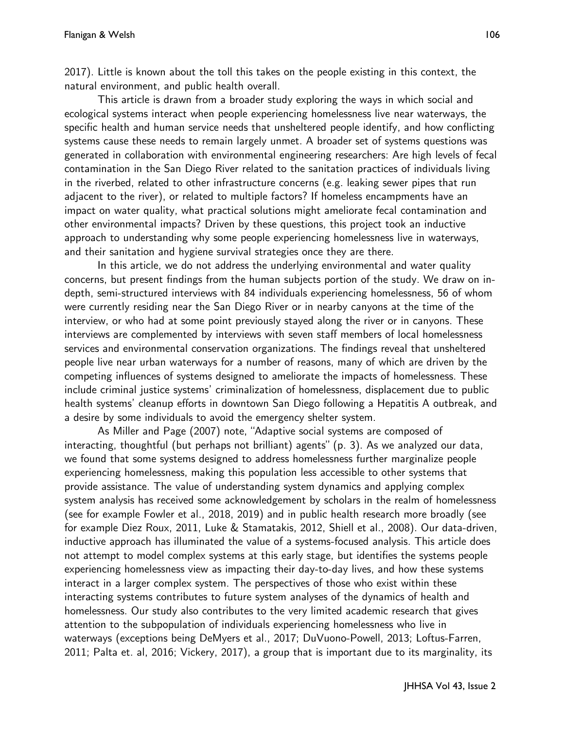2017). Little is known about the toll this takes on the people existing in this context, the natural environment, and public health overall.

This article is drawn from a broader study exploring the ways in which social and ecological systems interact when people experiencing homelessness live near waterways, the specific health and human service needs that unsheltered people identify, and how conflicting systems cause these needs to remain largely unmet. A broader set of systems questions was generated in collaboration with environmental engineering researchers: Are high levels of fecal contamination in the San Diego River related to the sanitation practices of individuals living in the riverbed, related to other infrastructure concerns (e.g. leaking sewer pipes that run adjacent to the river), or related to multiple factors? If homeless encampments have an impact on water quality, what practical solutions might ameliorate fecal contamination and other environmental impacts? Driven by these questions, this project took an inductive approach to understanding why some people experiencing homelessness live in waterways, and their sanitation and hygiene survival strategies once they are there.

In this article, we do not address the underlying environmental and water quality concerns, but present findings from the human subjects portion of the study. We draw on indepth, semi-structured interviews with 84 individuals experiencing homelessness, 56 of whom were currently residing near the San Diego River or in nearby canyons at the time of the interview, or who had at some point previously stayed along the river or in canyons. These interviews are complemented by interviews with seven staff members of local homelessness services and environmental conservation organizations. The findings reveal that unsheltered people live near urban waterways for a number of reasons, many of which are driven by the competing influences of systems designed to ameliorate the impacts of homelessness. These include criminal justice systems' criminalization of homelessness, displacement due to public health systems' cleanup efforts in downtown San Diego following a Hepatitis A outbreak, and a desire by some individuals to avoid the emergency shelter system.

As Miller and Page (2007) note, "Adaptive social systems are composed of interacting, thoughtful (but perhaps not brilliant) agents" (p. 3). As we analyzed our data, we found that some systems designed to address homelessness further marginalize people experiencing homelessness, making this population less accessible to other systems that provide assistance. The value of understanding system dynamics and applying complex system analysis has received some acknowledgement by scholars in the realm of homelessness (see for example Fowler et al., 2018, 2019) and in public health research more broadly (see for example Diez Roux, 2011, Luke & Stamatakis, 2012, Shiell et al., 2008). Our data-driven, inductive approach has illuminated the value of a systems-focused analysis. This article does not attempt to model complex systems at this early stage, but identifies the systems people experiencing homelessness view as impacting their day-to-day lives, and how these systems interact in a larger complex system. The perspectives of those who exist within these interacting systems contributes to future system analyses of the dynamics of health and homelessness. Our study also contributes to the very limited academic research that gives attention to the subpopulation of individuals experiencing homelessness who live in waterways (exceptions being DeMyers et al., 2017; DuVuono-Powell, 2013; Loftus-Farren, 2011; Palta et. al, 2016; Vickery, 2017), a group that is important due to its marginality, its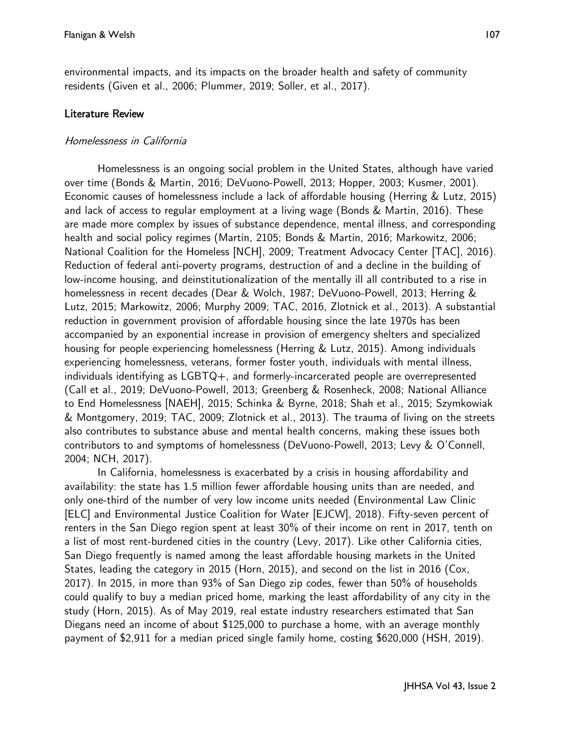environmental impacts, and its impacts on the broader health and safety of community residents (Given et al., 2006; Plummer, 2019; Soller, et al., 2017).

# Literature Review

# Homelessness in California

Homelessness is an ongoing social problem in the United States, although have varied over time (Bonds & Martin, 2016; DeVuono-Powell, 2013; Hopper, 2003; Kusmer, 2001). Economic causes of homelessness include a lack of affordable housing (Herring & Lutz, 2015) and lack of access to regular employment at a living wage (Bonds & Martin, 2016). These are made more complex by issues of substance dependence, mental illness, and corresponding health and social policy regimes (Martin, 2105; Bonds & Martin, 2016; Markowitz, 2006; National Coalition for the Homeless [NCH], 2009; Treatment Advocacy Center [TAC], 2016). Reduction of federal anti-poverty programs, destruction of and a decline in the building of low-income housing, and deinstitutionalization of the mentally ill all contributed to a rise in homelessness in recent decades (Dear & Wolch, 1987; DeVuono-Powell, 2013; Herring & Lutz, 2015; Markowitz, 2006; Murphy 2009; TAC, 2016, Zlotnick et al., 2013). A substantial reduction in government provision of affordable housing since the late 1970s has been accompanied by an exponential increase in provision of emergency shelters and specialized housing for people experiencing homelessness (Herring & Lutz, 2015). Among individuals experiencing homelessness, veterans, former foster youth, individuals with mental illness, individuals identifying as LGBTQ+, and formerly-incarcerated people are overrepresented (Call et al., 2019; DeVuono-Powell, 2013; Greenberg & Rosenheck, 2008; National Alliance to End Homelessness [NAEH], 2015; Schinka & Byrne, 2018; Shah et al., 2015; Szymkowiak & Montgomery, 2019; TAC, 2009; Zlotnick et al., 2013). The trauma of living on the streets also contributes to substance abuse and mental health concerns, making these issues both contributors to and symptoms of homelessness (DeVuono-Powell, 2013; Levy & O'Connell, 2004; NCH, 2017).

In California, homelessness is exacerbated by a crisis in housing affordability and availability: the state has 1.5 million fewer affordable housing units than are needed, and only one-third of the number of very low income units needed (Environmental Law Clinic [ELC] and Environmental Justice Coalition for Water [EJCW], 2018). Fifty-seven percent of renters in the San Diego region spent at least 30% of their income on rent in 2017, tenth on a list of most rent-burdened cities in the country (Levy, 2017). Like other California cities, San Diego frequently is named among the least affordable housing markets in the United States, leading the category in 2015 (Horn, 2015), and second on the list in 2016 (Cox, 2017). In 2015, in more than 93% of San Diego zip codes, fewer than 50% of households could qualify to buy a median priced home, marking the least affordability of any city in the study (Horn, 2015). As of May 2019, real estate industry researchers estimated that San Diegans need an income of about \$125,000 to purchase a home, with an average monthly payment of \$2,911 for a median priced single family home, costing \$620,000 (HSH, 2019).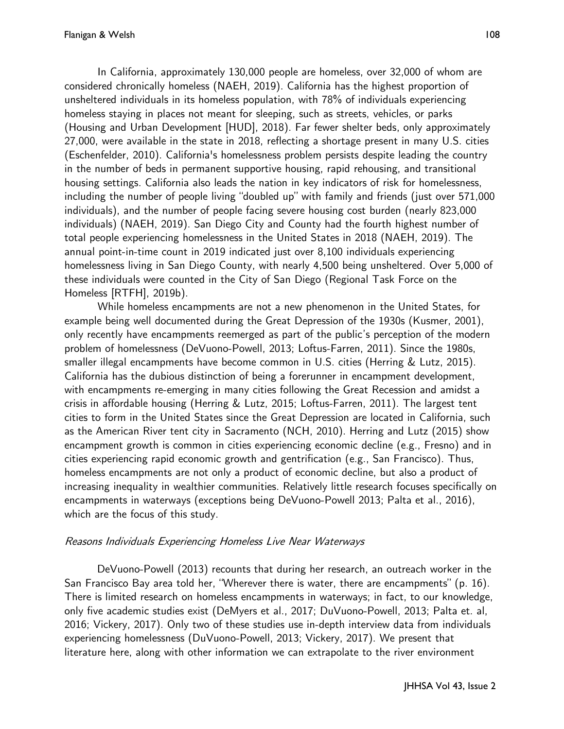In California, approximately 130,000 people are homeless, over 32,000 of whom are considered chronically homeless (NAEH, 2019). California has the highest proportion of unsheltered individuals in its homeless population, with 78% of individuals experiencing homeless staying in places not meant for sleeping, such as streets, vehicles, or parks (Housing and Urban Development [HUD], 2018). Far fewer shelter beds, only approximately 27,000, were available in the state in 2018, reflecting a shortage present in many U.S. cities (Eschenfelder, 2010). California's homelessness problem persists despite leading the country in the number of beds in permanent supportive housing, rapid rehousing, and transitional housing settings. California also leads the nation in key indicators of risk for homelessness, including the number of people living "doubled up" with family and friends (just over 571,000 individuals), and the number of people facing severe housing cost burden (nearly 823,000 individuals) (NAEH, 2019). San Diego City and County had the fourth highest number of total people experiencing homelessness in the United States in 2018 (NAEH, 2019). The annual point-in-time count in 2019 indicated just over 8,100 individuals experiencing homelessness living in San Diego County, with nearly 4,500 being unsheltered. Over 5,000 of these individuals were counted in the City of San Diego (Regional Task Force on the Homeless [RTFH], 2019b).

While homeless encampments are not a new phenomenon in the United States, for example being well documented during the Great Depression of the 1930s (Kusmer, 2001), only recently have encampments reemerged as part of the public's perception of the modern problem of homelessness (DeVuono-Powell, 2013; Loftus-Farren, 2011). Since the 1980s, smaller illegal encampments have become common in U.S. cities (Herring & Lutz, 2015). California has the dubious distinction of being a forerunner in encampment development, with encampments re-emerging in many cities following the Great Recession and amidst a crisis in affordable housing (Herring & Lutz, 2015; Loftus-Farren, 2011). The largest tent cities to form in the United States since the Great Depression are located in California, such as the American River tent city in Sacramento (NCH, 2010). Herring and Lutz (2015) show encampment growth is common in cities experiencing economic decline (e.g., Fresno) and in cities experiencing rapid economic growth and gentrification (e.g., San Francisco). Thus, homeless encampments are not only a product of economic decline, but also a product of increasing inequality in wealthier communities. Relatively little research focuses specifically on encampments in waterways (exceptions being DeVuono-Powell 2013; Palta et al., 2016), which are the focus of this study.

### Reasons Individuals Experiencing Homeless Live Near Waterways

DeVuono-Powell (2013) recounts that during her research, an outreach worker in the San Francisco Bay area told her, "Wherever there is water, there are encampments" (p. 16). There is limited research on homeless encampments in waterways; in fact, to our knowledge, only five academic studies exist (DeMyers et al., 2017; DuVuono-Powell, 2013; Palta et. al, 2016; Vickery, 2017). Only two of these studies use in-depth interview data from individuals experiencing homelessness (DuVuono-Powell, 2013; Vickery, 2017). We present that literature here, along with other information we can extrapolate to the river environment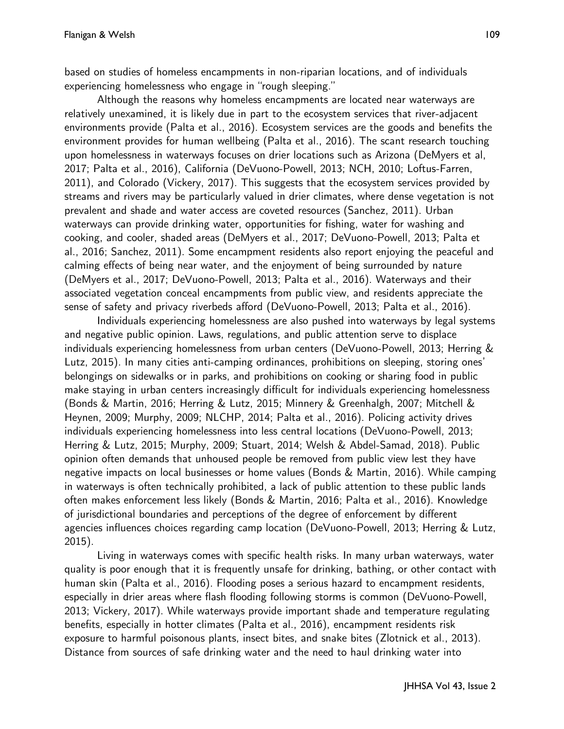based on studies of homeless encampments in non-riparian locations, and of individuals experiencing homelessness who engage in "rough sleeping."

Although the reasons why homeless encampments are located near waterways are relatively unexamined, it is likely due in part to the ecosystem services that river-adjacent environments provide (Palta et al., 2016). Ecosystem services are the goods and benefits the environment provides for human wellbeing (Palta et al., 2016). The scant research touching upon homelessness in waterways focuses on drier locations such as Arizona (DeMyers et al, 2017; Palta et al., 2016), California (DeVuono-Powell, 2013; NCH, 2010; Loftus-Farren, 2011), and Colorado (Vickery, 2017). This suggests that the ecosystem services provided by streams and rivers may be particularly valued in drier climates, where dense vegetation is not prevalent and shade and water access are coveted resources (Sanchez, 2011). Urban waterways can provide drinking water, opportunities for fishing, water for washing and cooking, and cooler, shaded areas (DeMyers et al., 2017; DeVuono-Powell, 2013; Palta et al., 2016; Sanchez, 2011). Some encampment residents also report enjoying the peaceful and calming effects of being near water, and the enjoyment of being surrounded by nature (DeMyers et al., 2017; DeVuono-Powell, 2013; Palta et al., 2016). Waterways and their associated vegetation conceal encampments from public view, and residents appreciate the sense of safety and privacy riverbeds afford (DeVuono-Powell, 2013; Palta et al., 2016).

Individuals experiencing homelessness are also pushed into waterways by legal systems and negative public opinion. Laws, regulations, and public attention serve to displace individuals experiencing homelessness from urban centers (DeVuono-Powell, 2013; Herring & Lutz, 2015). In many cities anti-camping ordinances, prohibitions on sleeping, storing ones' belongings on sidewalks or in parks, and prohibitions on cooking or sharing food in public make staying in urban centers increasingly difficult for individuals experiencing homelessness (Bonds & Martin, 2016; Herring & Lutz, 2015; Minnery & Greenhalgh, 2007; Mitchell & Heynen, 2009; Murphy, 2009; NLCHP, 2014; Palta et al., 2016). Policing activity drives individuals experiencing homelessness into less central locations (DeVuono-Powell, 2013; Herring & Lutz, 2015; Murphy, 2009; Stuart, 2014; Welsh & Abdel-Samad, 2018). Public opinion often demands that unhoused people be removed from public view lest they have negative impacts on local businesses or home values (Bonds & Martin, 2016). While camping in waterways is often technically prohibited, a lack of public attention to these public lands often makes enforcement less likely (Bonds & Martin, 2016; Palta et al., 2016). Knowledge of jurisdictional boundaries and perceptions of the degree of enforcement by different agencies influences choices regarding camp location (DeVuono-Powell, 2013; Herring & Lutz, 2015).

Living in waterways comes with specific health risks. In many urban waterways, water quality is poor enough that it is frequently unsafe for drinking, bathing, or other contact with human skin (Palta et al., 2016). Flooding poses a serious hazard to encampment residents, especially in drier areas where flash flooding following storms is common (DeVuono-Powell, 2013; Vickery, 2017). While waterways provide important shade and temperature regulating benefits, especially in hotter climates (Palta et al., 2016), encampment residents risk exposure to harmful poisonous plants, insect bites, and snake bites (Zlotnick et al., 2013). Distance from sources of safe drinking water and the need to haul drinking water into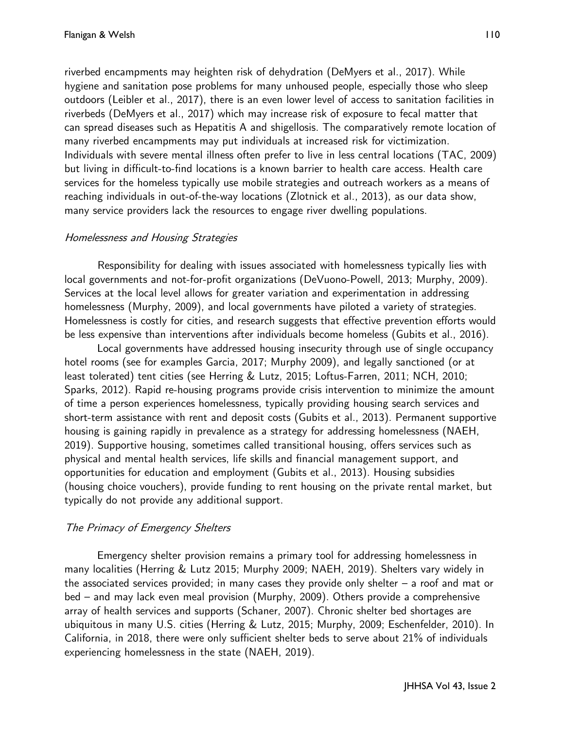riverbed encampments may heighten risk of dehydration (DeMyers et al., 2017). While hygiene and sanitation pose problems for many unhoused people, especially those who sleep outdoors (Leibler et al., 2017), there is an even lower level of access to sanitation facilities in riverbeds (DeMyers et al., 2017) which may increase risk of exposure to fecal matter that can spread diseases such as Hepatitis A and shigellosis. The comparatively remote location of many riverbed encampments may put individuals at increased risk for victimization. Individuals with severe mental illness often prefer to live in less central locations (TAC, 2009) but living in difficult-to-find locations is a known barrier to health care access. Health care services for the homeless typically use mobile strategies and outreach workers as a means of reaching individuals in out-of-the-way locations (Zlotnick et al., 2013), as our data show, many service providers lack the resources to engage river dwelling populations.

### Homelessness and Housing Strategies

Responsibility for dealing with issues associated with homelessness typically lies with local governments and not-for-profit organizations (DeVuono-Powell, 2013; Murphy, 2009). Services at the local level allows for greater variation and experimentation in addressing homelessness (Murphy, 2009), and local governments have piloted a variety of strategies. Homelessness is costly for cities, and research suggests that effective prevention efforts would be less expensive than interventions after individuals become homeless (Gubits et al., 2016).

Local governments have addressed housing insecurity through use of single occupancy hotel rooms (see for examples Garcia, 2017; Murphy 2009), and legally sanctioned (or at least tolerated) tent cities (see Herring & Lutz, 2015; Loftus-Farren, 2011; NCH, 2010; Sparks, 2012). Rapid re-housing programs provide crisis intervention to minimize the amount of time a person experiences homelessness, typically providing housing search services and short-term assistance with rent and deposit costs (Gubits et al., 2013). Permanent supportive housing is gaining rapidly in prevalence as a strategy for addressing homelessness (NAEH, 2019). Supportive housing, sometimes called transitional housing, offers services such as physical and mental health services, life skills and financial management support, and opportunities for education and employment (Gubits et al., 2013). Housing subsidies (housing choice vouchers), provide funding to rent housing on the private rental market, but typically do not provide any additional support.

# The Primacy of Emergency Shelters

Emergency shelter provision remains a primary tool for addressing homelessness in many localities (Herring & Lutz 2015; Murphy 2009; NAEH, 2019). Shelters vary widely in the associated services provided; in many cases they provide only shelter – a roof and mat or bed – and may lack even meal provision (Murphy, 2009). Others provide a comprehensive array of health services and supports (Schaner, 2007). Chronic shelter bed shortages are ubiquitous in many U.S. cities (Herring & Lutz, 2015; Murphy, 2009; Eschenfelder, 2010). In California, in 2018, there were only sufficient shelter beds to serve about 21% of individuals experiencing homelessness in the state (NAEH, 2019).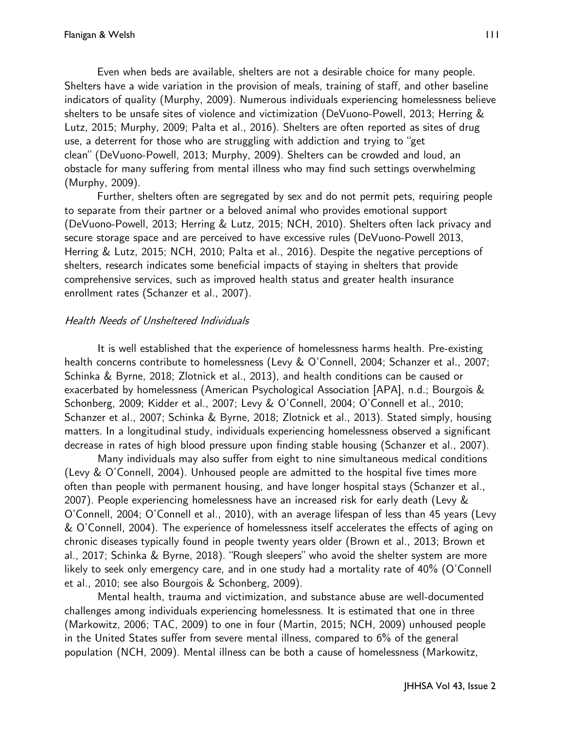Even when beds are available, shelters are not a desirable choice for many people. Shelters have a wide variation in the provision of meals, training of staff, and other baseline indicators of quality (Murphy, 2009). Numerous individuals experiencing homelessness believe shelters to be unsafe sites of violence and victimization (DeVuono-Powell, 2013; Herring & Lutz, 2015; Murphy, 2009; Palta et al., 2016). Shelters are often reported as sites of drug use, a deterrent for those who are struggling with addiction and trying to "get clean" (DeVuono-Powell, 2013; Murphy, 2009). Shelters can be crowded and loud, an obstacle for many suffering from mental illness who may find such settings overwhelming (Murphy, 2009).

Further, shelters often are segregated by sex and do not permit pets, requiring people to separate from their partner or a beloved animal who provides emotional support (DeVuono-Powell, 2013; Herring & Lutz, 2015; NCH, 2010). Shelters often lack privacy and secure storage space and are perceived to have excessive rules (DeVuono-Powell 2013, Herring & Lutz, 2015; NCH, 2010; Palta et al., 2016). Despite the negative perceptions of shelters, research indicates some beneficial impacts of staying in shelters that provide comprehensive services, such as improved health status and greater health insurance enrollment rates (Schanzer et al., 2007).

### Health Needs of Unsheltered Individuals

It is well established that the experience of homelessness harms health. Pre-existing health concerns contribute to homelessness (Levy & O'Connell, 2004; Schanzer et al., 2007; Schinka & Byrne, 2018; Zlotnick et al., 2013), and health conditions can be caused or exacerbated by homelessness (American Psychological Association [APA], n.d.; Bourgois & Schonberg, 2009; Kidder et al., 2007; Levy & O'Connell, 2004; O'Connell et al., 2010; Schanzer et al., 2007; Schinka & Byrne, 2018; Zlotnick et al., 2013). Stated simply, housing matters. In a longitudinal study, individuals experiencing homelessness observed a significant decrease in rates of high blood pressure upon finding stable housing (Schanzer et al., 2007).

Many individuals may also suffer from eight to nine simultaneous medical conditions (Levy & O'Connell, 2004). Unhoused people are admitted to the hospital five times more often than people with permanent housing, and have longer hospital stays (Schanzer et al., 2007). People experiencing homelessness have an increased risk for early death (Levy & O'Connell, 2004; O'Connell et al., 2010), with an average lifespan of less than 45 years (Levy & O'Connell, 2004). The experience of homelessness itself accelerates the effects of aging on chronic diseases typically found in people twenty years older (Brown et al., 2013; Brown et al., 2017; Schinka & Byrne, 2018). "Rough sleepers" who avoid the shelter system are more likely to seek only emergency care, and in one study had a mortality rate of 40% (O'Connell et al., 2010; see also Bourgois & Schonberg, 2009).

Mental health, trauma and victimization, and substance abuse are well-documented challenges among individuals experiencing homelessness. It is estimated that one in three (Markowitz, 2006; TAC, 2009) to one in four (Martin, 2015; NCH, 2009) unhoused people in the United States suffer from severe mental illness, compared to 6% of the general population (NCH, 2009). Mental illness can be both a cause of homelessness (Markowitz,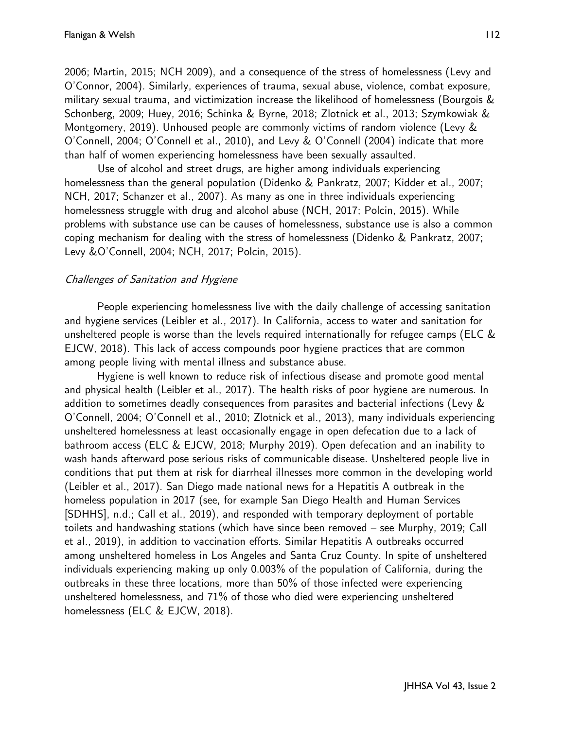2006; Martin, 2015; NCH 2009), and a consequence of the stress of homelessness (Levy and O'Connor, 2004). Similarly, experiences of trauma, sexual abuse, violence, combat exposure, military sexual trauma, and victimization increase the likelihood of homelessness (Bourgois & Schonberg, 2009; Huey, 2016; Schinka & Byrne, 2018; Zlotnick et al., 2013; Szymkowiak & Montgomery, 2019). Unhoused people are commonly victims of random violence (Levy & O'Connell, 2004; O'Connell et al., 2010), and Levy & O'Connell (2004) indicate that more than half of women experiencing homelessness have been sexually assaulted.

Use of alcohol and street drugs, are higher among individuals experiencing homelessness than the general population (Didenko & Pankratz, 2007; Kidder et al., 2007; NCH, 2017; Schanzer et al., 2007). As many as one in three individuals experiencing homelessness struggle with drug and alcohol abuse (NCH, 2017; Polcin, 2015). While problems with substance use can be causes of homelessness, substance use is also a common coping mechanism for dealing with the stress of homelessness (Didenko & Pankratz, 2007; Levy &O'Connell, 2004; NCH, 2017; Polcin, 2015).

### Challenges of Sanitation and Hygiene

People experiencing homelessness live with the daily challenge of accessing sanitation and hygiene services (Leibler et al., 2017). In California, access to water and sanitation for unsheltered people is worse than the levels required internationally for refugee camps (ELC & EJCW, 2018). This lack of access compounds poor hygiene practices that are common among people living with mental illness and substance abuse.

Hygiene is well known to reduce risk of infectious disease and promote good mental and physical health (Leibler et al., 2017). The health risks of poor hygiene are numerous. In addition to sometimes deadly consequences from parasites and bacterial infections (Levy & O'Connell, 2004; O'Connell et al., 2010; Zlotnick et al., 2013), many individuals experiencing unsheltered homelessness at least occasionally engage in open defecation due to a lack of bathroom access (ELC & EJCW, 2018; Murphy 2019). Open defecation and an inability to wash hands afterward pose serious risks of communicable disease. Unsheltered people live in conditions that put them at risk for diarrheal illnesses more common in the developing world (Leibler et al., 2017). San Diego made national news for a Hepatitis A outbreak in the homeless population in 2017 (see, for example San Diego Health and Human Services [SDHHS], n.d.; Call et al., 2019), and responded with temporary deployment of portable toilets and handwashing stations (which have since been removed – see Murphy, 2019; Call et al., 2019), in addition to vaccination efforts. Similar Hepatitis A outbreaks occurred among unsheltered homeless in Los Angeles and Santa Cruz County. In spite of unsheltered individuals experiencing making up only 0.003% of the population of California, during the outbreaks in these three locations, more than 50% of those infected were experiencing unsheltered homelessness, and 71% of those who died were experiencing unsheltered homelessness (ELC & EJCW, 2018).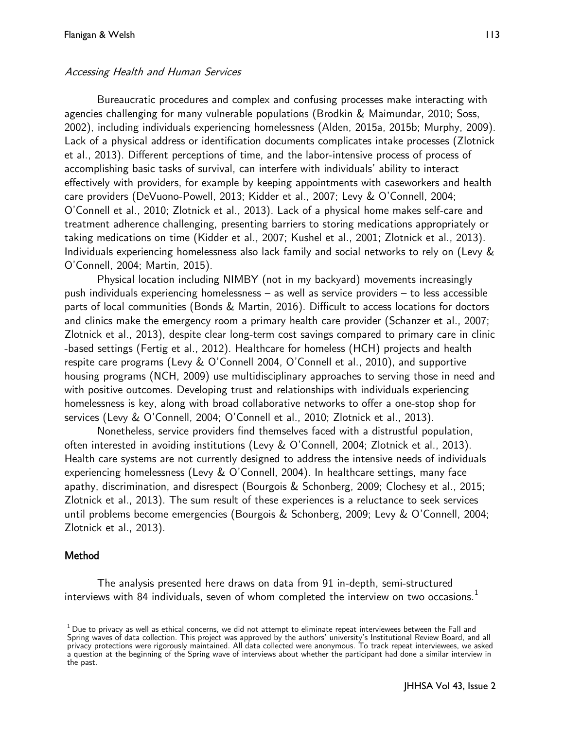#### Accessing Health and Human Services

Bureaucratic procedures and complex and confusing processes make interacting with agencies challenging for many vulnerable populations (Brodkin & Maimundar, 2010; Soss, 2002), including individuals experiencing homelessness (Alden, 2015a, 2015b; Murphy, 2009). Lack of a physical address or identification documents complicates intake processes (Zlotnick et al., 2013). Different perceptions of time, and the labor-intensive process of process of accomplishing basic tasks of survival, can interfere with individuals' ability to interact effectively with providers, for example by keeping appointments with caseworkers and health care providers (DeVuono-Powell, 2013; Kidder et al., 2007; Levy & O'Connell, 2004; O'Connell et al., 2010; Zlotnick et al., 2013). Lack of a physical home makes self-care and treatment adherence challenging, presenting barriers to storing medications appropriately or taking medications on time (Kidder et al., 2007; Kushel et al., 2001; Zlotnick et al., 2013). Individuals experiencing homelessness also lack family and social networks to rely on (Levy & O'Connell, 2004; Martin, 2015).

Physical location including NIMBY (not in my backyard) movements increasingly push individuals experiencing homelessness – as well as service providers – to less accessible parts of local communities (Bonds & Martin, 2016). Difficult to access locations for doctors and clinics make the emergency room a primary health care provider (Schanzer et al., 2007; Zlotnick et al., 2013), despite clear long-term cost savings compared to primary care in clinic -based settings (Fertig et al., 2012). Healthcare for homeless (HCH) projects and health respite care programs (Levy & O'Connell 2004, O'Connell et al., 2010), and supportive housing programs (NCH, 2009) use multidisciplinary approaches to serving those in need and with positive outcomes. Developing trust and relationships with individuals experiencing homelessness is key, along with broad collaborative networks to offer a one-stop shop for services (Levy & O'Connell, 2004; O'Connell et al., 2010; Zlotnick et al., 2013).

Nonetheless, service providers find themselves faced with a distrustful population, often interested in avoiding institutions (Levy & O'Connell, 2004; Zlotnick et al., 2013). Health care systems are not currently designed to address the intensive needs of individuals experiencing homelessness (Levy & O'Connell, 2004). In healthcare settings, many face apathy, discrimination, and disrespect (Bourgois & Schonberg, 2009; Clochesy et al., 2015; Zlotnick et al., 2013). The sum result of these experiences is a reluctance to seek services until problems become emergencies (Bourgois & Schonberg, 2009; Levy & O'Connell, 2004; Zlotnick et al., 2013).

#### Method

The analysis presented here draws on data from 91 in-depth, semi-structured interviews with 84 individuals, seven of whom completed the interview on two occasions. $<sup>1</sup>$ </sup>

 $<sup>1</sup>$  Due to privacy as well as ethical concerns, we did not attempt to eliminate repeat interviewees between the Fall and</sup> Spring waves of data collection. This project was approved by the authors' university's Institutional Review Board, and all privacy protections were rigorously maintained. All data collected were anonymous. To track repeat interviewees, we asked a question at the beginning of the Spring wave of interviews about whether the participant had done a similar interview in the past.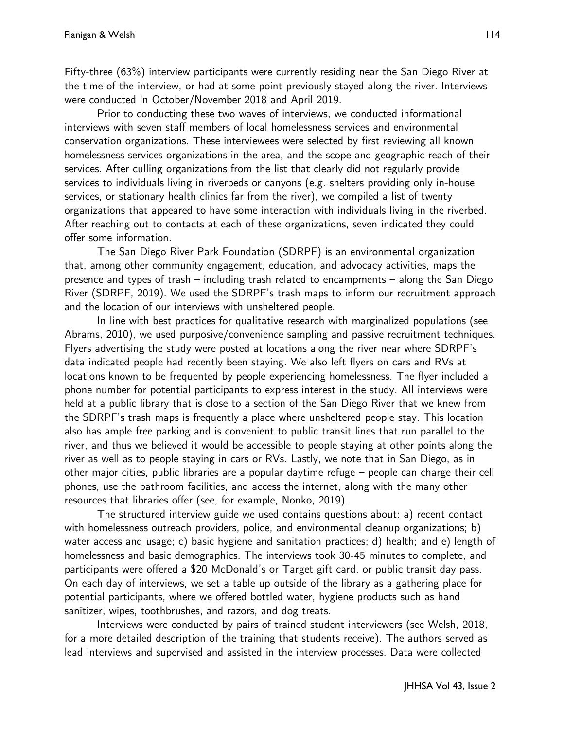Fifty-three (63%) interview participants were currently residing near the San Diego River at the time of the interview, or had at some point previously stayed along the river. Interviews were conducted in October/November 2018 and April 2019.

Prior to conducting these two waves of interviews, we conducted informational interviews with seven staff members of local homelessness services and environmental conservation organizations. These interviewees were selected by first reviewing all known homelessness services organizations in the area, and the scope and geographic reach of their services. After culling organizations from the list that clearly did not regularly provide services to individuals living in riverbeds or canyons (e.g. shelters providing only in-house services, or stationary health clinics far from the river), we compiled a list of twenty organizations that appeared to have some interaction with individuals living in the riverbed. After reaching out to contacts at each of these organizations, seven indicated they could offer some information.

The San Diego River Park Foundation (SDRPF) is an environmental organization that, among other community engagement, education, and advocacy activities, maps the presence and types of trash – including trash related to encampments – along the San Diego River (SDRPF, 2019). We used the SDRPF's trash maps to inform our recruitment approach and the location of our interviews with unsheltered people.

In line with best practices for qualitative research with marginalized populations (see Abrams, 2010), we used purposive/convenience sampling and passive recruitment techniques. Flyers advertising the study were posted at locations along the river near where SDRPF's data indicated people had recently been staying. We also left flyers on cars and RVs at locations known to be frequented by people experiencing homelessness. The flyer included a phone number for potential participants to express interest in the study. All interviews were held at a public library that is close to a section of the San Diego River that we knew from the SDRPF's trash maps is frequently a place where unsheltered people stay. This location also has ample free parking and is convenient to public transit lines that run parallel to the river, and thus we believed it would be accessible to people staying at other points along the river as well as to people staying in cars or RVs. Lastly, we note that in San Diego, as in other major cities, public libraries are a popular daytime refuge – people can charge their cell phones, use the bathroom facilities, and access the internet, along with the many other resources that libraries offer (see, for example, Nonko, 2019).

The structured interview guide we used contains questions about: a) recent contact with homelessness outreach providers, police, and environmental cleanup organizations; b) water access and usage; c) basic hygiene and sanitation practices; d) health; and e) length of homelessness and basic demographics. The interviews took 30-45 minutes to complete, and participants were offered a \$20 McDonald's or Target gift card, or public transit day pass. On each day of interviews, we set a table up outside of the library as a gathering place for potential participants, where we offered bottled water, hygiene products such as hand sanitizer, wipes, toothbrushes, and razors, and dog treats.

Interviews were conducted by pairs of trained student interviewers (see Welsh, 2018, for a more detailed description of the training that students receive). The authors served as lead interviews and supervised and assisted in the interview processes. Data were collected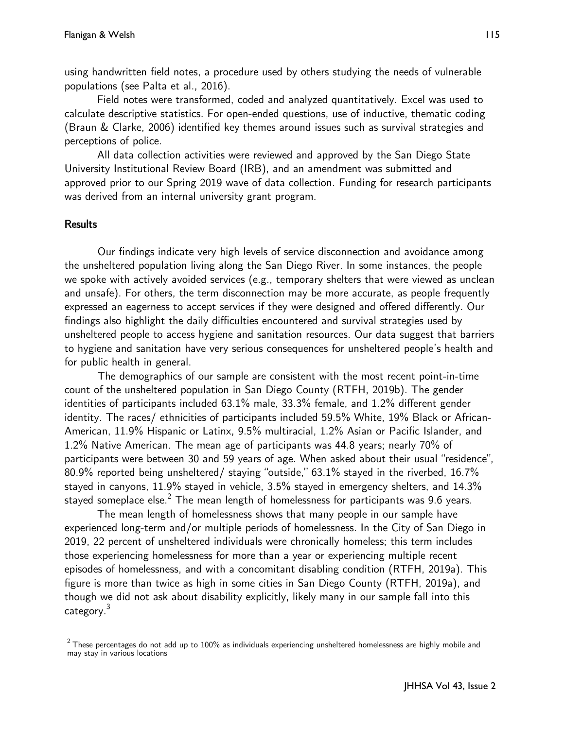using handwritten field notes, a procedure used by others studying the needs of vulnerable populations (see Palta et al., 2016).

Field notes were transformed, coded and analyzed quantitatively. Excel was used to calculate descriptive statistics. For open-ended questions, use of inductive, thematic coding (Braun & Clarke, 2006) identified key themes around issues such as survival strategies and perceptions of police.

All data collection activities were reviewed and approved by the San Diego State University Institutional Review Board (IRB), and an amendment was submitted and approved prior to our Spring 2019 wave of data collection. Funding for research participants was derived from an internal university grant program.

### **Results**

 Our findings indicate very high levels of service disconnection and avoidance among the unsheltered population living along the San Diego River. In some instances, the people we spoke with actively avoided services (e.g., temporary shelters that were viewed as unclean and unsafe). For others, the term disconnection may be more accurate, as people frequently expressed an eagerness to accept services if they were designed and offered differently. Our findings also highlight the daily difficulties encountered and survival strategies used by unsheltered people to access hygiene and sanitation resources. Our data suggest that barriers to hygiene and sanitation have very serious consequences for unsheltered people's health and for public health in general.

 The demographics of our sample are consistent with the most recent point-in-time count of the unsheltered population in San Diego County (RTFH, 2019b). The gender identities of participants included 63.1% male, 33.3% female, and 1.2% different gender identity. The races/ ethnicities of participants included 59.5% White, 19% Black or African-American, 11.9% Hispanic or Latinx, 9.5% multiracial, 1.2% Asian or Pacific Islander, and 1.2% Native American. The mean age of participants was 44.8 years; nearly 70% of participants were between 30 and 59 years of age. When asked about their usual "residence", 80.9% reported being unsheltered/ staying "outside," 63.1% stayed in the riverbed, 16.7% stayed in canyons, 11.9% stayed in vehicle, 3.5% stayed in emergency shelters, and 14.3% stayed someplace else.<sup>2</sup> The mean length of homelessness for participants was 9.6 years.

The mean length of homelessness shows that many people in our sample have experienced long-term and/or multiple periods of homelessness. In the City of San Diego in 2019, 22 percent of unsheltered individuals were chronically homeless; this term includes those experiencing homelessness for more than a year or experiencing multiple recent episodes of homelessness, and with a concomitant disabling condition (RTFH, 2019a). This figure is more than twice as high in some cities in San Diego County (RTFH, 2019a), and though we did not ask about disability explicitly, likely many in our sample fall into this category.<sup>3</sup>

 $2$  These percentages do not add up to 100% as individuals experiencing unsheltered homelessness are highly mobile and may stay in various locations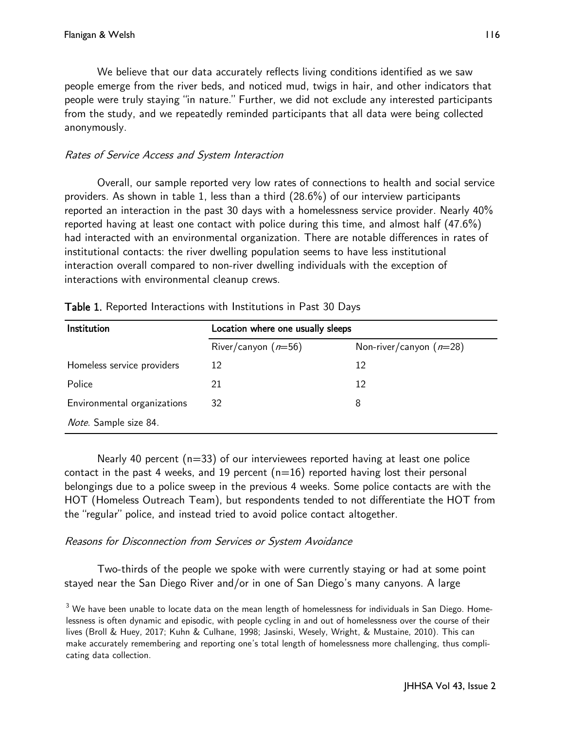We believe that our data accurately reflects living conditions identified as we saw people emerge from the river beds, and noticed mud, twigs in hair, and other indicators that people were truly staying "in nature." Further, we did not exclude any interested participants from the study, and we repeatedly reminded participants that all data were being collected anonymously.

### Rates of Service Access and System Interaction

Overall, our sample reported very low rates of connections to health and social service providers. As shown in table 1, less than a third (28.6%) of our interview participants reported an interaction in the past 30 days with a homelessness service provider. Nearly 40% reported having at least one contact with police during this time, and almost half (47.6%) had interacted with an environmental organization. There are notable differences in rates of institutional contacts: the river dwelling population seems to have less institutional interaction overall compared to non-river dwelling individuals with the exception of interactions with environmental cleanup crews.

| Institution                  | Location where one usually sleeps |                           |  |
|------------------------------|-----------------------------------|---------------------------|--|
|                              | River/canyon $(n=56)$             | Non-river/canyon $(n=28)$ |  |
| Homeless service providers   | 12                                | 12                        |  |
| Police                       | 21                                | 12                        |  |
| Environmental organizations  | 32                                | 8                         |  |
| <i>Note.</i> Sample size 84. |                                   |                           |  |

Nearly 40 percent  $(n=33)$  of our interviewees reported having at least one police contact in the past 4 weeks, and 19 percent  $(n=16)$  reported having lost their personal belongings due to a police sweep in the previous 4 weeks. Some police contacts are with the HOT (Homeless Outreach Team), but respondents tended to not differentiate the HOT from the "regular" police, and instead tried to avoid police contact altogether.

# Reasons for Disconnection from Services or System Avoidance

Two-thirds of the people we spoke with were currently staying or had at some point stayed near the San Diego River and/or in one of San Diego's many canyons. A large

 $3$  We have been unable to locate data on the mean length of homelessness for individuals in San Diego. Homelessness is often dynamic and episodic, with people cycling in and out of homelessness over the course of their lives (Broll & Huey, 2017; Kuhn & Culhane, 1998; Jasinski, Wesely, Wright, & Mustaine, 2010). This can make accurately remembering and reporting one's total length of homelessness more challenging, thus complicating data collection.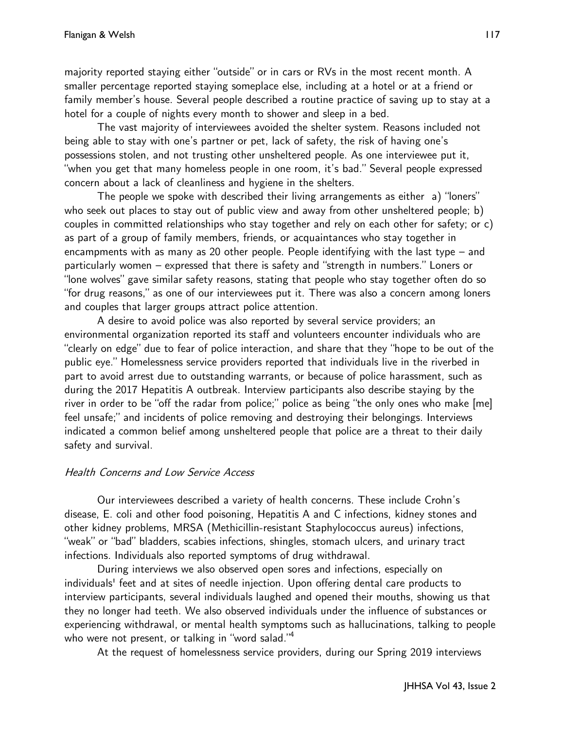majority reported staying either "outside" or in cars or RVs in the most recent month. A smaller percentage reported staying someplace else, including at a hotel or at a friend or family member's house. Several people described a routine practice of saving up to stay at a hotel for a couple of nights every month to shower and sleep in a bed.

The vast majority of interviewees avoided the shelter system. Reasons included not being able to stay with one's partner or pet, lack of safety, the risk of having one's possessions stolen, and not trusting other unsheltered people. As one interviewee put it, "when you get that many homeless people in one room, it's bad." Several people expressed concern about a lack of cleanliness and hygiene in the shelters.

The people we spoke with described their living arrangements as either a) "loners" who seek out places to stay out of public view and away from other unsheltered people; b) couples in committed relationships who stay together and rely on each other for safety; or c) as part of a group of family members, friends, or acquaintances who stay together in encampments with as many as 20 other people. People identifying with the last type – and particularly women – expressed that there is safety and "strength in numbers." Loners or "lone wolves" gave similar safety reasons, stating that people who stay together often do so "for drug reasons," as one of our interviewees put it. There was also a concern among loners and couples that larger groups attract police attention.

A desire to avoid police was also reported by several service providers; an environmental organization reported its staff and volunteers encounter individuals who are "clearly on edge" due to fear of police interaction, and share that they "hope to be out of the public eye." Homelessness service providers reported that individuals live in the riverbed in part to avoid arrest due to outstanding warrants, or because of police harassment, such as during the 2017 Hepatitis A outbreak. Interview participants also describe staying by the river in order to be "off the radar from police;" police as being "the only ones who make [me] feel unsafe;" and incidents of police removing and destroying their belongings. Interviews indicated a common belief among unsheltered people that police are a threat to their daily safety and survival.

# Health Concerns and Low Service Access

Our interviewees described a variety of health concerns. These include Crohn's disease, E. coli and other food poisoning, Hepatitis A and C infections, kidney stones and other kidney problems, MRSA (Methicillin-resistant Staphylococcus aureus) infections, "weak" or "bad" bladders, scabies infections, shingles, stomach ulcers, and urinary tract infections. Individuals also reported symptoms of drug withdrawal.

During interviews we also observed open sores and infections, especially on individuals' feet and at sites of needle injection. Upon offering dental care products to interview participants, several individuals laughed and opened their mouths, showing us that they no longer had teeth. We also observed individuals under the influence of substances or experiencing withdrawal, or mental health symptoms such as hallucinations, talking to people who were not present, or talking in "word salad." 4

At the request of homelessness service providers, during our Spring 2019 interviews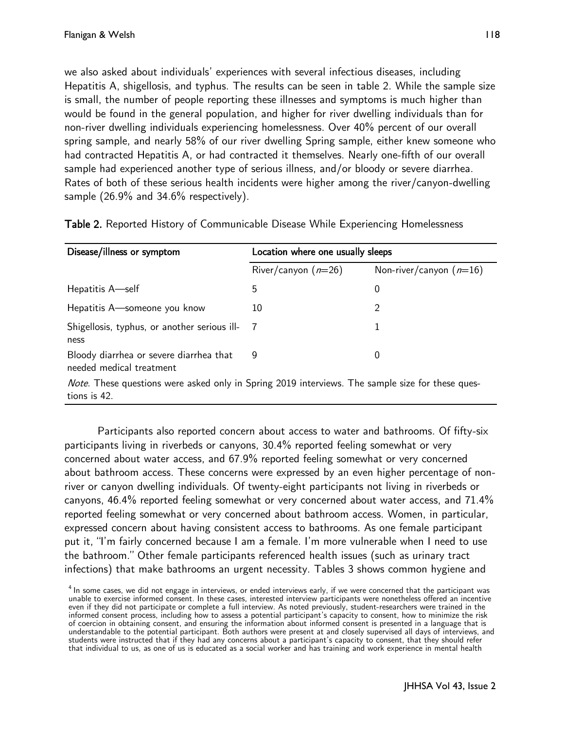we also asked about individuals' experiences with several infectious diseases, including Hepatitis A, shigellosis, and typhus. The results can be seen in table 2. While the sample size is small, the number of people reporting these illnesses and symptoms is much higher than would be found in the general population, and higher for river dwelling individuals than for non-river dwelling individuals experiencing homelessness. Over 40% percent of our overall spring sample, and nearly 58% of our river dwelling Spring sample, either knew someone who had contracted Hepatitis A, or had contracted it themselves. Nearly one-fifth of our overall sample had experienced another type of serious illness, and/or bloody or severe diarrhea. Rates of both of these serious health incidents were higher among the river/canyon-dwelling sample (26.9% and 34.6% respectively).

| Disease/illness or symptom                                                                                       | Location where one usually sleeps |                           |  |  |
|------------------------------------------------------------------------------------------------------------------|-----------------------------------|---------------------------|--|--|
|                                                                                                                  | River/canyon $(n=26)$             | Non-river/canyon $(n=16)$ |  |  |
| Hepatitis A—self                                                                                                 | 5                                 | 0                         |  |  |
| Hepatitis A—someone you know                                                                                     | 10                                | 2                         |  |  |
| Shigellosis, typhus, or another serious ill-<br>ness                                                             | -7                                | 1                         |  |  |
| Bloody diarrhea or severe diarrhea that<br>needed medical treatment                                              | 9                                 | 0                         |  |  |
| Note. These questions were asked only in Spring 2019 interviews. The sample size for these ques-<br>tions is 42. |                                   |                           |  |  |

Table 2. Reported History of Communicable Disease While Experiencing Homelessness

Participants also reported concern about access to water and bathrooms. Of fifty-six participants living in riverbeds or canyons, 30.4% reported feeling somewhat or very concerned about water access, and 67.9% reported feeling somewhat or very concerned about bathroom access. These concerns were expressed by an even higher percentage of nonriver or canyon dwelling individuals. Of twenty-eight participants not living in riverbeds or canyons, 46.4% reported feeling somewhat or very concerned about water access, and 71.4% reported feeling somewhat or very concerned about bathroom access. Women, in particular, expressed concern about having consistent access to bathrooms. As one female participant put it, "I'm fairly concerned because I am a female. I'm more vulnerable when I need to use the bathroom." Other female participants referenced health issues (such as urinary tract infections) that make bathrooms an urgent necessity. Tables 3 shows common hygiene and

 $<sup>4</sup>$  In some cases, we did not engage in interviews, or ended interviews early, if we were concerned that the participant was</sup> unable to exercise informed consent. In these cases, interested interview participants were nonetheless offered an incentive even if they did not participate or complete a full interview. As noted previously, student-researchers were trained in the informed consent process, including how to assess a potential participant's capacity to consent, how to minimize the risk of coercion in obtaining consent, and ensuring the information about informed consent is presented in a language that is understandable to the potential participant. Both authors were present at and closely supervised all days of interviews, and students were instructed that if they had any concerns about a participant's capacity to consent, that they should refer that individual to us, as one of us is educated as a social worker and has training and work experience in mental health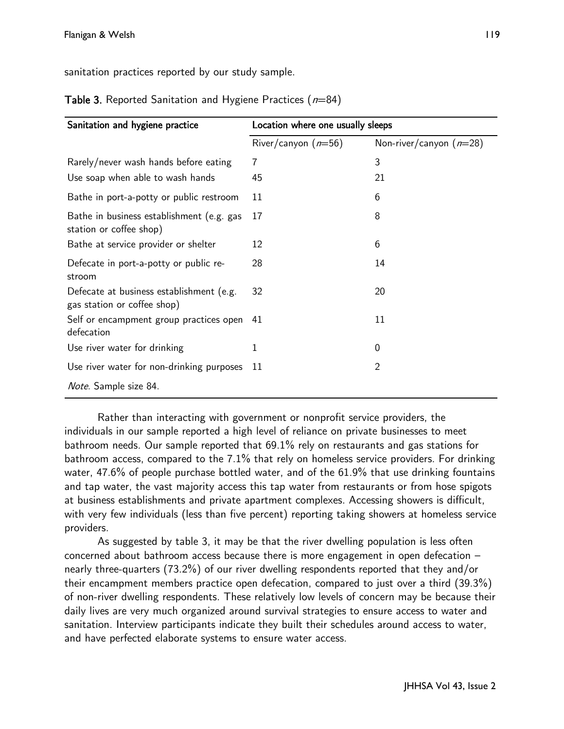sanitation practices reported by our study sample.

| Sanitation and hygiene practice                                         | Location where one usually sleeps |                           |  |
|-------------------------------------------------------------------------|-----------------------------------|---------------------------|--|
|                                                                         | River/canyon $(n=56)$             | Non-river/canyon $(n=28)$ |  |
| Rarely/never wash hands before eating                                   | 7                                 | 3                         |  |
| Use soap when able to wash hands                                        | 45                                | 21                        |  |
| Bathe in port-a-potty or public restroom                                | 11                                | 6                         |  |
| Bathe in business establishment (e.g. gas<br>station or coffee shop)    | 17                                | 8                         |  |
| Bathe at service provider or shelter                                    | 12                                | 6                         |  |
| Defecate in port-a-potty or public re-<br>stroom                        | 28                                | 14                        |  |
| Defecate at business establishment (e.g.<br>gas station or coffee shop) | 32                                | 20                        |  |
| Self or encampment group practices open<br>defecation                   | 41                                | 11                        |  |
| Use river water for drinking                                            | 1                                 | 0                         |  |
| Use river water for non-drinking purposes                               | 11                                | 2                         |  |
| <i>Note.</i> Sample size 84.                                            |                                   |                           |  |

**Table 3.** Reported Sanitation and Hygiene Practices ( $n=84$ )

Rather than interacting with government or nonprofit service providers, the individuals in our sample reported a high level of reliance on private businesses to meet bathroom needs. Our sample reported that 69.1% rely on restaurants and gas stations for bathroom access, compared to the 7.1% that rely on homeless service providers. For drinking water, 47.6% of people purchase bottled water, and of the 61.9% that use drinking fountains and tap water, the vast majority access this tap water from restaurants or from hose spigots at business establishments and private apartment complexes. Accessing showers is difficult, with very few individuals (less than five percent) reporting taking showers at homeless service providers.

As suggested by table 3, it may be that the river dwelling population is less often concerned about bathroom access because there is more engagement in open defecation – nearly three-quarters (73.2%) of our river dwelling respondents reported that they and/or their encampment members practice open defecation, compared to just over a third (39.3%) of non-river dwelling respondents. These relatively low levels of concern may be because their daily lives are very much organized around survival strategies to ensure access to water and sanitation. Interview participants indicate they built their schedules around access to water, and have perfected elaborate systems to ensure water access.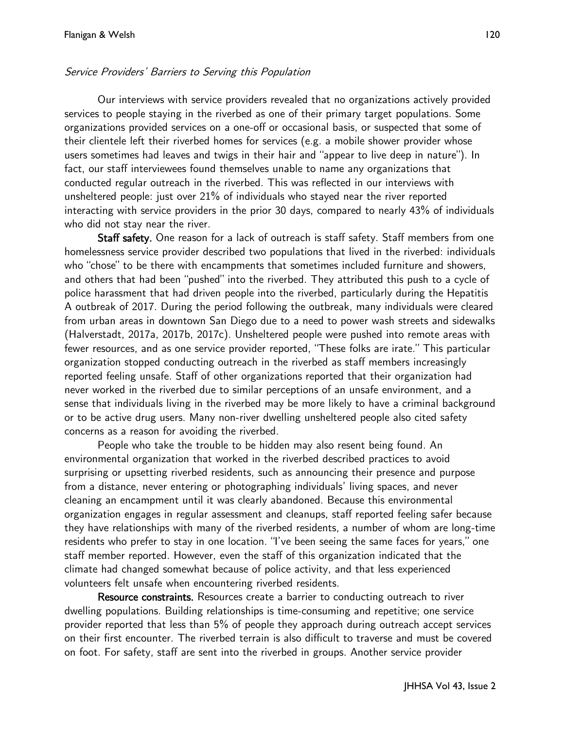#### Service Providers' Barriers to Serving this Population

Our interviews with service providers revealed that no organizations actively provided services to people staying in the riverbed as one of their primary target populations. Some organizations provided services on a one-off or occasional basis, or suspected that some of their clientele left their riverbed homes for services (e.g. a mobile shower provider whose users sometimes had leaves and twigs in their hair and "appear to live deep in nature"). In fact, our staff interviewees found themselves unable to name any organizations that conducted regular outreach in the riverbed. This was reflected in our interviews with unsheltered people: just over 21% of individuals who stayed near the river reported interacting with service providers in the prior 30 days, compared to nearly 43% of individuals who did not stay near the river.

Staff safety. One reason for a lack of outreach is staff safety. Staff members from one homelessness service provider described two populations that lived in the riverbed: individuals who "chose" to be there with encampments that sometimes included furniture and showers, and others that had been "pushed" into the riverbed. They attributed this push to a cycle of police harassment that had driven people into the riverbed, particularly during the Hepatitis A outbreak of 2017. During the period following the outbreak, many individuals were cleared from urban areas in downtown San Diego due to a need to power wash streets and sidewalks (Halverstadt, 2017a, 2017b, 2017c). Unsheltered people were pushed into remote areas with fewer resources, and as one service provider reported, "These folks are irate." This particular organization stopped conducting outreach in the riverbed as staff members increasingly reported feeling unsafe. Staff of other organizations reported that their organization had never worked in the riverbed due to similar perceptions of an unsafe environment, and a sense that individuals living in the riverbed may be more likely to have a criminal background or to be active drug users. Many non-river dwelling unsheltered people also cited safety concerns as a reason for avoiding the riverbed.

People who take the trouble to be hidden may also resent being found. An environmental organization that worked in the riverbed described practices to avoid surprising or upsetting riverbed residents, such as announcing their presence and purpose from a distance, never entering or photographing individuals' living spaces, and never cleaning an encampment until it was clearly abandoned. Because this environmental organization engages in regular assessment and cleanups, staff reported feeling safer because they have relationships with many of the riverbed residents, a number of whom are long-time residents who prefer to stay in one location. "I've been seeing the same faces for years," one staff member reported. However, even the staff of this organization indicated that the climate had changed somewhat because of police activity, and that less experienced volunteers felt unsafe when encountering riverbed residents.

Resource constraints. Resources create a barrier to conducting outreach to river dwelling populations. Building relationships is time-consuming and repetitive; one service provider reported that less than 5% of people they approach during outreach accept services on their first encounter. The riverbed terrain is also difficult to traverse and must be covered on foot. For safety, staff are sent into the riverbed in groups. Another service provider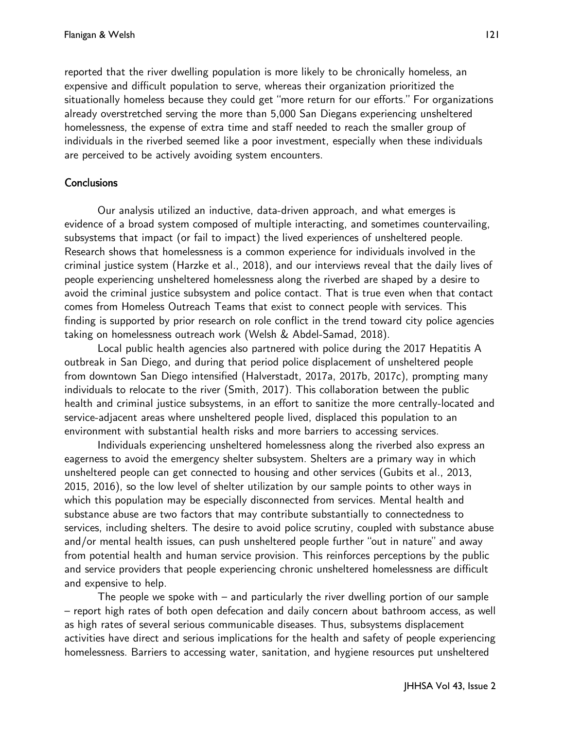reported that the river dwelling population is more likely to be chronically homeless, an expensive and difficult population to serve, whereas their organization prioritized the situationally homeless because they could get "more return for our efforts." For organizations already overstretched serving the more than 5,000 San Diegans experiencing unsheltered homelessness, the expense of extra time and staff needed to reach the smaller group of individuals in the riverbed seemed like a poor investment, especially when these individuals are perceived to be actively avoiding system encounters.

### **Conclusions**

Our analysis utilized an inductive, data-driven approach, and what emerges is evidence of a broad system composed of multiple interacting, and sometimes countervailing, subsystems that impact (or fail to impact) the lived experiences of unsheltered people. Research shows that homelessness is a common experience for individuals involved in the criminal justice system (Harzke et al., 2018), and our interviews reveal that the daily lives of people experiencing unsheltered homelessness along the riverbed are shaped by a desire to avoid the criminal justice subsystem and police contact. That is true even when that contact comes from Homeless Outreach Teams that exist to connect people with services. This finding is supported by prior research on role conflict in the trend toward city police agencies taking on homelessness outreach work (Welsh & Abdel-Samad, 2018).

Local public health agencies also partnered with police during the 2017 Hepatitis A outbreak in San Diego, and during that period police displacement of unsheltered people from downtown San Diego intensified (Halverstadt, 2017a, 2017b, 2017c), prompting many individuals to relocate to the river (Smith, 2017). This collaboration between the public health and criminal justice subsystems, in an effort to sanitize the more centrally-located and service-adjacent areas where unsheltered people lived, displaced this population to an environment with substantial health risks and more barriers to accessing services.

Individuals experiencing unsheltered homelessness along the riverbed also express an eagerness to avoid the emergency shelter subsystem. Shelters are a primary way in which unsheltered people can get connected to housing and other services (Gubits et al., 2013, 2015, 2016), so the low level of shelter utilization by our sample points to other ways in which this population may be especially disconnected from services. Mental health and substance abuse are two factors that may contribute substantially to connectedness to services, including shelters. The desire to avoid police scrutiny, coupled with substance abuse and/or mental health issues, can push unsheltered people further "out in nature" and away from potential health and human service provision. This reinforces perceptions by the public and service providers that people experiencing chronic unsheltered homelessness are difficult and expensive to help.

The people we spoke with – and particularly the river dwelling portion of our sample – report high rates of both open defecation and daily concern about bathroom access, as well as high rates of several serious communicable diseases. Thus, subsystems displacement activities have direct and serious implications for the health and safety of people experiencing homelessness. Barriers to accessing water, sanitation, and hygiene resources put unsheltered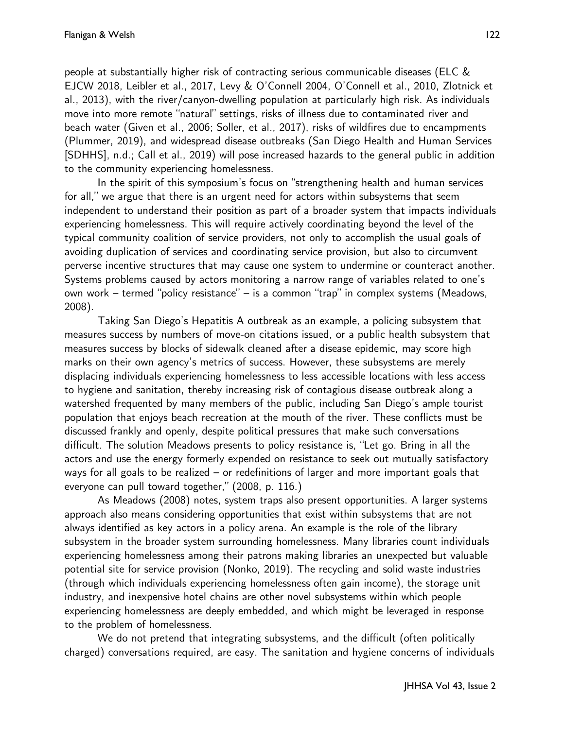people at substantially higher risk of contracting serious communicable diseases (ELC & EJCW 2018, Leibler et al., 2017, Levy & O'Connell 2004, O'Connell et al., 2010, Zlotnick et al., 2013), with the river/canyon-dwelling population at particularly high risk. As individuals move into more remote "natural" settings, risks of illness due to contaminated river and beach water (Given et al., 2006; Soller, et al., 2017), risks of wildfires due to encampments (Plummer, 2019), and widespread disease outbreaks (San Diego Health and Human Services [SDHHS], n.d.; Call et al., 2019) will pose increased hazards to the general public in addition to the community experiencing homelessness.

In the spirit of this symposium's focus on "strengthening health and human services for all," we argue that there is an urgent need for actors within subsystems that seem independent to understand their position as part of a broader system that impacts individuals experiencing homelessness. This will require actively coordinating beyond the level of the typical community coalition of service providers, not only to accomplish the usual goals of avoiding duplication of services and coordinating service provision, but also to circumvent perverse incentive structures that may cause one system to undermine or counteract another. Systems problems caused by actors monitoring a narrow range of variables related to one's own work – termed "policy resistance" – is a common "trap" in complex systems (Meadows, 2008).

Taking San Diego's Hepatitis A outbreak as an example, a policing subsystem that measures success by numbers of move-on citations issued, or a public health subsystem that measures success by blocks of sidewalk cleaned after a disease epidemic, may score high marks on their own agency's metrics of success. However, these subsystems are merely displacing individuals experiencing homelessness to less accessible locations with less access to hygiene and sanitation, thereby increasing risk of contagious disease outbreak along a watershed frequented by many members of the public, including San Diego's ample tourist population that enjoys beach recreation at the mouth of the river. These conflicts must be discussed frankly and openly, despite political pressures that make such conversations difficult. The solution Meadows presents to policy resistance is, "Let go. Bring in all the actors and use the energy formerly expended on resistance to seek out mutually satisfactory ways for all goals to be realized – or redefinitions of larger and more important goals that everyone can pull toward together," (2008, p. 116.)

As Meadows (2008) notes, system traps also present opportunities. A larger systems approach also means considering opportunities that exist within subsystems that are not always identified as key actors in a policy arena. An example is the role of the library subsystem in the broader system surrounding homelessness. Many libraries count individuals experiencing homelessness among their patrons making libraries an unexpected but valuable potential site for service provision (Nonko, 2019). The recycling and solid waste industries (through which individuals experiencing homelessness often gain income), the storage unit industry, and inexpensive hotel chains are other novel subsystems within which people experiencing homelessness are deeply embedded, and which might be leveraged in response to the problem of homelessness.

We do not pretend that integrating subsystems, and the difficult (often politically charged) conversations required, are easy. The sanitation and hygiene concerns of individuals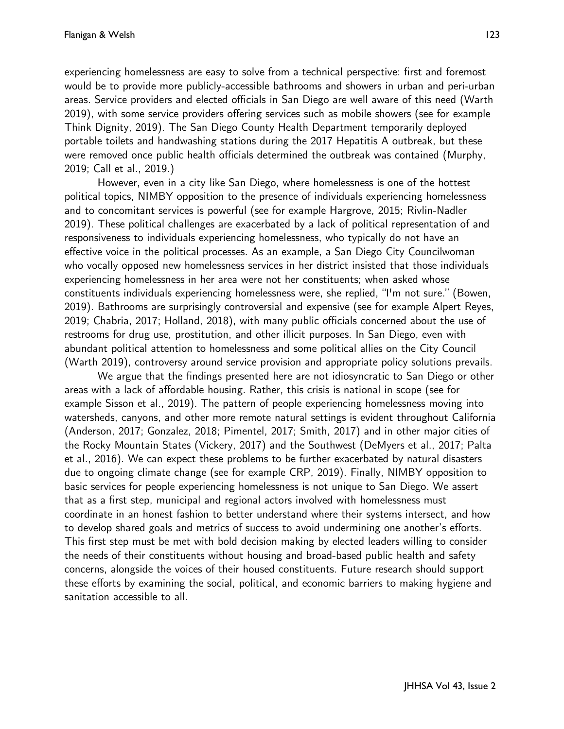experiencing homelessness are easy to solve from a technical perspective: first and foremost would be to provide more publicly-accessible bathrooms and showers in urban and peri-urban areas. Service providers and elected officials in San Diego are well aware of this need (Warth 2019), with some service providers offering services such as mobile showers (see for example Think Dignity, 2019). The San Diego County Health Department temporarily deployed portable toilets and handwashing stations during the 2017 Hepatitis A outbreak, but these were removed once public health officials determined the outbreak was contained (Murphy, 2019; Call et al., 2019.)

However, even in a city like San Diego, where homelessness is one of the hottest political topics, NIMBY opposition to the presence of individuals experiencing homelessness and to concomitant services is powerful (see for example Hargrove, 2015; Rivlin-Nadler 2019). These political challenges are exacerbated by a lack of political representation of and responsiveness to individuals experiencing homelessness, who typically do not have an effective voice in the political processes. As an example, a San Diego City Councilwoman who vocally opposed new homelessness services in her district insisted that those individuals experiencing homelessness in her area were not her constituents; when asked whose constituents individuals experiencing homelessness were, she replied, "I'm not sure." (Bowen, 2019). Bathrooms are surprisingly controversial and expensive (see for example Alpert Reyes, 2019; Chabria, 2017; Holland, 2018), with many public officials concerned about the use of restrooms for drug use, prostitution, and other illicit purposes. In San Diego, even with abundant political attention to homelessness and some political allies on the City Council (Warth 2019), controversy around service provision and appropriate policy solutions prevails.

We argue that the findings presented here are not idiosyncratic to San Diego or other areas with a lack of affordable housing. Rather, this crisis is national in scope (see for example Sisson et al., 2019). The pattern of people experiencing homelessness moving into watersheds, canyons, and other more remote natural settings is evident throughout California (Anderson, 2017; Gonzalez, 2018; Pimentel, 2017; Smith, 2017) and in other major cities of the Rocky Mountain States (Vickery, 2017) and the Southwest (DeMyers et al., 2017; Palta et al., 2016). We can expect these problems to be further exacerbated by natural disasters due to ongoing climate change (see for example CRP, 2019). Finally, NIMBY opposition to basic services for people experiencing homelessness is not unique to San Diego. We assert that as a first step, municipal and regional actors involved with homelessness must coordinate in an honest fashion to better understand where their systems intersect, and how to develop shared goals and metrics of success to avoid undermining one another's efforts. This first step must be met with bold decision making by elected leaders willing to consider the needs of their constituents without housing and broad-based public health and safety concerns, alongside the voices of their housed constituents. Future research should support these efforts by examining the social, political, and economic barriers to making hygiene and sanitation accessible to all.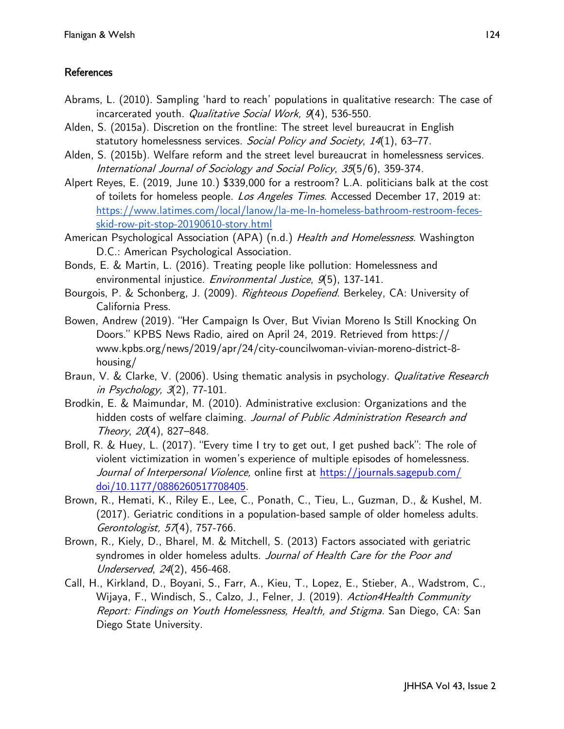### **References**

- Abrams, L. (2010). Sampling 'hard to reach' populations in qualitative research: The case of incarcerated youth. Qualitative Social Work, 9(4), 536-550.
- Alden, S. (2015a). Discretion on the frontline: The street level bureaucrat in English statutory homelessness services. Social Policy and Society, 14(1), 63-77.
- Alden, S. (2015b). Welfare reform and the street level bureaucrat in homelessness services. International Journal of Sociology and Social Policy, 35(5/6), 359-374.
- Alpert Reyes, E. (2019, June 10.) \$339,000 for a restroom? L.A. politicians balk at the cost of toilets for homeless people. Los Angeles Times. Accessed December 17, 2019 at[:](https://www.latimes.com/local/lanow/la-me-ln-homeless-bathroom-restroom-feces-skid-row-pit-stop-20190610-story.html) [https://www.latimes.com/local/lanow/la](https://www.latimes.com/local/lanow/la-me-ln-homeless-bathroom-restroom-feces-skid-row-pit-stop-20190610-story.html)-me-ln-homeless-bathroom-restroom-fecesskid-row-pit-stop-20190610-[story.html](https://www.latimes.com/local/lanow/la-me-ln-homeless-bathroom-restroom-feces-skid-row-pit-stop-20190610-story.html)
- American Psychological Association (APA) (n.d.) Health and Homelessness. Washington D.C.: American Psychological Association.
- Bonds, E. & Martin, L. (2016). Treating people like pollution: Homelessness and environmental injustice. Environmental Justice, 9(5), 137-141.
- Bourgois, P. & Schonberg, J. (2009). Righteous Dopefiend. Berkeley, CA: University of California Press.
- Bowen, Andrew (2019). "Her Campaign Is Over, But Vivian Moreno Is Still Knocking On Doors." KPBS News Radio, aired on April 24, 2019. Retrieved from https:// www.kpbs.org/news/2019/apr/24/city-councilwoman-vivian-moreno-district-8 housing/
- Braun, V. & Clarke, V. (2006). Using thematic analysis in psychology. *Qualitative Research* in Psychology, 3(2), 77-101.
- Brodkin, E. & Maimundar, M. (2010). Administrative exclusion: Organizations and the hidden costs of welfare claiming. Journal of Public Administration Research and Theory, 20(4), 827–848.
- Broll, R. & Huey, L. (2017). "Every time I try to get out, I get pushed back": The role of violent victimization in women's experience of multiple episodes of homelessness. Journal of Interpersonal Violence, online first at [https://journals.sagepub.com/](https://journals.sagepub.com/doi/10.1177/0886260517708405) [doi/10.1177/0886260517708405.](https://journals.sagepub.com/doi/10.1177/0886260517708405)
- Brown, R., Hemati, K., Riley E., Lee, C., Ponath, C., Tieu, L., Guzman, D., & Kushel, M. (2017). Geriatric conditions in a population-based sample of older homeless adults. Gerontologist, 57(4), 757-766.
- Brown, R., Kiely, D., Bharel, M. & Mitchell, S. (2013) Factors associated with geriatric syndromes in older homeless adults. Journal of Health Care for the Poor and Underserved, 24(2), 456-468.
- Call, H., Kirkland, D., Boyani, S., Farr, A., Kieu, T., Lopez, E., Stieber, A., Wadstrom, C., Wijaya, F., Windisch, S., Calzo, J., Felner, J. (2019). Action4Health Community Report: Findings on Youth Homelessness, Health, and Stigma. San Diego, CA: San Diego State University.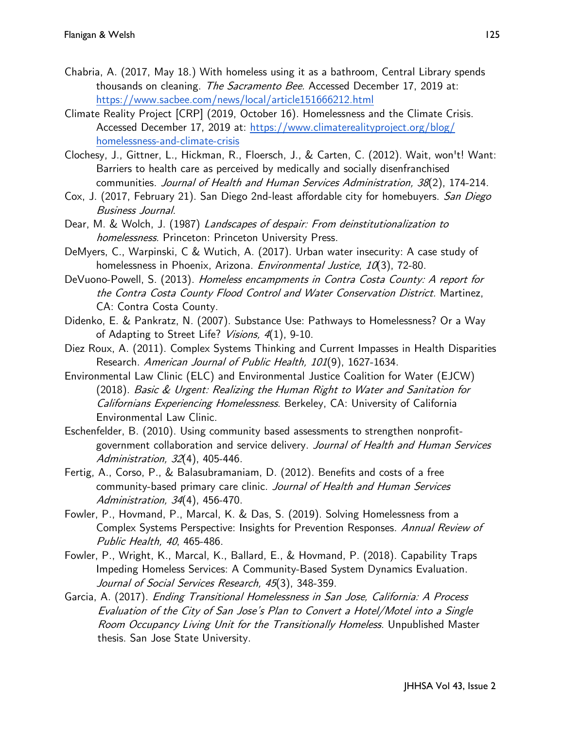- Chabria, A. (2017, May 18.) With homeless using it as a bathroom, Central Library spends thousandson cleaning. The Sacramento Bee. Accessed December 17, 2019 at: <https://www.sacbee.com/news/local/article151666212.html>
- Climate Reality Project [CRP] (2019, October 16). Homelessness and the Climate Crisis. Accessed December 17, 2019 at: [https://www.climaterealityproject.org/blog/](https://www.climaterealityproject.org/blog/homelessness-and-climate-crisis) [homelessness](https://www.climaterealityproject.org/blog/homelessness-and-climate-crisis)-and-climate-crisis
- Clochesy, J., Gittner, L., Hickman, R., Floersch, J., & Carten, C. (2012). Wait, won't! Want: Barriers to health care as perceived by medically and socially disenfranchised communities. Journal of Health and Human Services Administration, 38(2), 174-214.
- Cox, J. (2017, February 21). San Diego 2nd-least affordable city for homebuyers. San Diego Business Journal.
- Dear, M. & Wolch, J. (1987) Landscapes of despair: From deinstitutionalization to homelessness. Princeton: Princeton University Press.
- DeMyers, C., Warpinski, C & Wutich, A. (2017). Urban water insecurity: A case study of homelessness in Phoenix, Arizona. Environmental Justice, 10(3), 72-80.
- DeVuono-Powell, S. (2013). Homeless encampments in Contra Costa County: A report for the Contra Costa County Flood Control and Water Conservation District. Martinez, CA: Contra Costa County.
- Didenko, E. & Pankratz, N. (2007). Substance Use: Pathways to Homelessness? Or a Way of Adapting to Street Life? Visions, 4(1), 9-10.
- Diez Roux, A. (2011). Complex Systems Thinking and Current Impasses in Health Disparities Research. American Journal of Public Health, 101(9), 1627-1634.
- Environmental Law Clinic (ELC) and Environmental Justice Coalition for Water (EJCW) (2018). Basic & Urgent: Realizing the Human Right to Water and Sanitation for Californians Experiencing Homelessness. Berkeley, CA: University of California Environmental Law Clinic.
- Eschenfelder, B. (2010). Using community based assessments to strengthen nonprofitgovernment collaboration and service delivery. Journal of Health and Human Services Administration, 32(4), 405-446.
- Fertig, A., Corso, P., & Balasubramaniam, D. (2012). Benefits and costs of a free community-based primary care clinic. Journal of Health and Human Services Administration, 34(4), 456-470.
- Fowler, P., Hovmand, P., Marcal, K. & Das, S. (2019). Solving Homelessness from a Complex Systems Perspective: Insights for Prevention Responses. Annual Review of Public Health, 40, 465-486.
- Fowler, P., Wright, K., Marcal, K., Ballard, E., & Hovmand, P. (2018). Capability Traps Impeding Homeless Services: A Community-Based System Dynamics Evaluation. Journal of Social Services Research, 45(3), 348-359.
- Garcia, A. (2017). Ending Transitional Homelessness in San Jose, California: A Process Evaluation of the City of San Jose's Plan to Convert a Hotel/Motel into a Single Room Occupancy Living Unit for the Transitionally Homeless. Unpublished Master thesis. San Jose State University.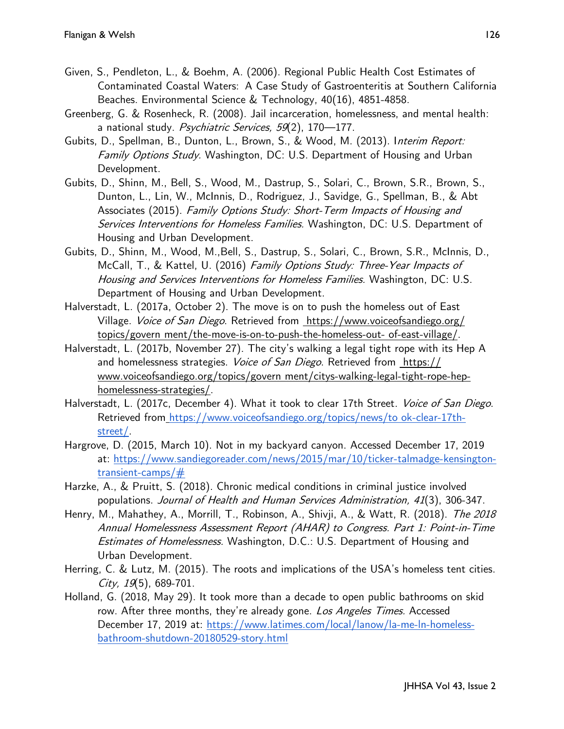- Given, S., Pendleton, L., & Boehm, A. (2006). Regional Public Health Cost Estimates of Contaminated Coastal Waters:  A Case Study of Gastroenteritis at Southern California Beaches. Environmental Science & Technology, 40(16), 4851-4858.
- Greenberg, G. & Rosenheck, R. (2008). Jail incarceration, homelessness, and mental health: a national study. Psychiatric Services, 59(2), 170-177.
- Gubits, D., Spellman, B., Dunton, L., Brown, S., & Wood, M. (2013). Interim Report: Family Options Study. Washington, DC: U.S. Department of Housing and Urban Development.
- Gubits, D., Shinn, M., Bell, S., Wood, M., Dastrup, S., Solari, C., Brown, S.R., Brown, S., Dunton, L., Lin, W., McInnis, D., Rodriguez, J., Savidge, G., Spellman, B., & Abt Associates (2015). Family Options Study: Short-Term Impacts of Housing and Services Interventions for Homeless Families. Washington, DC: U.S. Department of Housing and Urban Development.
- Gubits, D., Shinn, M., Wood, M.,Bell, S., Dastrup, S., Solari, C., Brown, S.R., McInnis, D., McCall, T., & Kattel, U. (2016) Family Options Study: Three-Year Impacts of Housing and Services Interventions for Homeless Families. Washington, DC: U.S. Department of Housing and Urban Development.
- Halverstadt, L. (2017a, October 2). The move is on to push the homeless out of East Village. Voice of San Diego. Retrieved from https://www.voiceofsandiego.org/ topics/govern ment/the-move-is-on-to-push-the-homeless-out- of-east-village/.
- Halverstadt, L. (2017b, November 27). The city's walking a legal tight rope with its Hep A and homelessness strategies. *Voice of San Diego*. Retrieved from https:// www.voiceofsandiego.org/topics/govern ment/citys-walking-legal-tight-rope-hephomelessness-strategies/.
- Halverstadt, L. (2017c, December 4). What it took to clear 17th Street. Voice of San Diego. Retrieved from [https://www.voiceofsandiego.org/topics/news/to ok](https://www.voiceofsandiego.org/topics/news/to%20ok-clear-17th-street/)-clear-17th[street/.](https://www.voiceofsandiego.org/topics/news/to%20ok-clear-17th-street/)
- Hargrove, D. (2015, March 10). Not in my backyard canyon. Accessed December 17, 2019 at: [https://www.sandiegoreader.com/news/2015/mar/10/ticker](https://www.sandiegoreader.com/news/2015/mar/10/ticker-talmadge-kensington-transient-camps/)-talmadge-kensingtontransient-[camps/#](https://www.sandiegoreader.com/news/2015/mar/10/ticker-talmadge-kensington-transient-camps/)
- Harzke, A., & Pruitt, S. (2018). Chronic medical conditions in criminal justice involved populations. Journal of Health and Human Services Administration, 41(3), 306-347.
- Henry, M., Mahathey, A., Morrill, T., Robinson, A., Shivji, A., & Watt, R. (2018). The 2018 Annual Homelessness Assessment Report (AHAR) to Congress. Part 1: Point-in-Time Estimates of Homelessness. Washington, D.C.: U.S. Department of Housing and Urban Development.
- Herring, C. & Lutz, M. (2015). The roots and implications of the USA's homeless tent cities. City,  $19(5)$ , 689-701.
- Holland, G. (2018, May 29). It took more than a decade to open public bathrooms on skid row. After three months, they're already gone. Los Angeles Times. Accessed December 17, 2019 at: [https://www.latimes.com/local/lanow/la](https://www.latimes.com/local/lanow/la-me-ln-homeless-bathroom-shutdown-20180529-story.html)-me-ln-homelessbathroom-shutdown-20180529-[story.html](https://www.latimes.com/local/lanow/la-me-ln-homeless-bathroom-shutdown-20180529-story.html)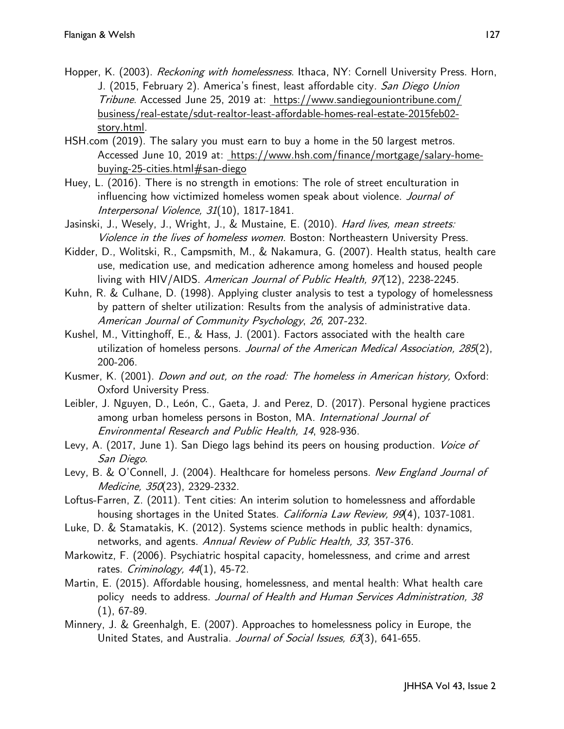- Hopper, K. (2003). *Reckoning with homelessness.* Ithaca, NY: Cornell University Press. Horn, J. (2015, February 2). America's finest, least affordable city. San Diego Union Tribune. Accessed June 25, 2019 at: https://www.sandiegouniontribune.com/ business/real-estate/sdut-realtor-least-affordable-homes-real-estate-2015feb02 story.html.
- HSH.com (2019). The salary you must earn to buy a home in the 50 largest metros. Accessed June 10, 2019 at: https://www.hsh.com/finance/mortgage/salary-homebuying-25-cities.html#san-diego
- Huey, L. (2016). There is no strength in emotions: The role of street enculturation in influencing how victimized homeless women speak about violence. Journal of Interpersonal Violence, 31(10), 1817-1841.
- Jasinski, J., Wesely, J., Wright, J., & Mustaine, E. (2010). *Hard lives, mean streets:* Violence in the lives of homeless women. Boston: Northeastern University Press.
- Kidder, D., Wolitski, R., Campsmith, M., & Nakamura, G. (2007). Health status, health care use, medication use, and medication adherence among homeless and housed people living with HIV/AIDS. American Journal of Public Health, 97(12), 2238-2245.
- Kuhn, R. & Culhane, D. (1998). Applying cluster analysis to test a typology of homelessness by pattern of shelter utilization: Results from the analysis of administrative data. American Journal of Community Psychology, 26, 207-232.
- Kushel, M., Vittinghoff, E., & Hass, J. (2001). Factors associated with the health care utilization of homeless persons. Journal of the American Medical Association, 285(2), 200-206.
- Kusmer, K. (2001). *Down and out, on the road: The homeless in American history*, Oxford: Oxford University Press.
- Leibler, J. Nguyen, D., León, C., Gaeta, J. and Perez, D. (2017). Personal hygiene practices among urban homeless persons in Boston, MA. International Journal of Environmental Research and Public Health, 14, 928-936.
- Levy, A. (2017, June 1). San Diego lags behind its peers on housing production. Voice of San Diego.
- Levy, B. & O'Connell, J. (2004). Healthcare for homeless persons. New England Journal of Medicine, 350(23), 2329-2332.
- Loftus-Farren, Z. (2011). Tent cities: An interim solution to homelessness and affordable housing shortages in the United States. *California Law Review, 99*(4), 1037-1081.
- Luke, D. & Stamatakis, K. (2012). Systems science methods in public health: dynamics, networks, and agents. Annual Review of Public Health, 33, 357-376.
- Markowitz, F. (2006). Psychiatric hospital capacity, homelessness, and crime and arrest rates. Criminology,  $44(1)$ , 45-72.
- Martin, E. (2015). Affordable housing, homelessness, and mental health: What health care policy needs to address. Journal of Health and Human Services Administration, 38 (1), 67-89.
- Minnery, J. & Greenhalgh, E. (2007). Approaches to homelessness policy in Europe, the United States, and Australia. Journal of Social Issues, 63(3), 641-655.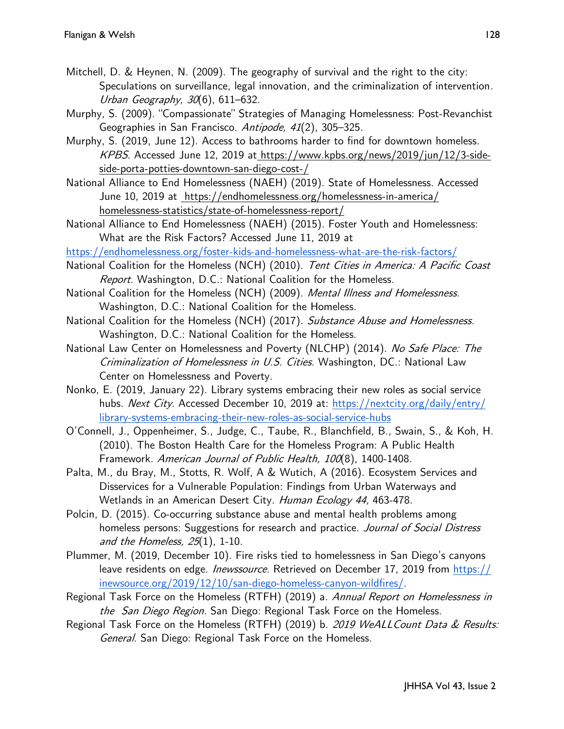- Mitchell, D. & Heynen, N. (2009). The geography of survival and the right to the city: Speculations on surveillance, legal innovation, and the criminalization of intervention. Urban Geography, 30(6), 611-632.
- Murphy, S. (2009). "Compassionate" Strategies of Managing Homelessness: Post-Revanchist Geographies in San Francisco. Antipode, 41(2), 305-325.
- Murphy, S. (2019, June 12). Access to bathrooms harder to find for downtown homeless. KPBS. Accessed June 12, 2019 at https://www.kpbs.org/news/2019/jun/12/3-sideside-porta-potties-downtown-san-diego-cost-/
- National Alliance to End Homelessness (NAEH) (2019). State of Homelessness. Accessed June 10, 2019 at https://endhomelessness.org/homelessness-in-america/ homelessness-statistics/state-of-homelessness-report/
- National Alliance to End Homelessness (NAEH) (2015). Foster Youth and Homelessness: What are the Risk Factors? Accessed June 11, 2019 at

[https://endhomelessness.org/foster](https://endhomelessness.org/foster-kids-and-homelessness-what-are-the-risk-factors/)-kids-and-homelessness-what-are-the-risk-factors/

- National Coalition for the Homeless (NCH) (2010). Tent Cities in America: A Pacific Coast Report. Washington, D.C.: National Coalition for the Homeless.
- National Coalition for the Homeless (NCH) (2009). Mental Illness and Homelessness. Washington, D.C.: National Coalition for the Homeless.
- National Coalition for the Homeless (NCH) (2017). Substance Abuse and Homelessness. Washington, D.C.: National Coalition for the Homeless.
- National Law Center on Homelessness and Poverty (NLCHP) (2014). No Safe Place: The Criminalization of Homelessness in U.S. Cities. Washington, DC.: National Law Center on Homelessness and Poverty.
- Nonko, E. (2019, January 22). Library systems embracing their new roles as social service hubs. Next City. Accessed December 10, 2019 at: [https://nextcity.org/daily/entry/](https://nextcity.org/daily/entry/library-systems-embracing-their-new-roles-as-social-service-hubs) library-systems-[embracing](https://nextcity.org/daily/entry/library-systems-embracing-their-new-roles-as-social-service-hubs)-their-new-roles-as-social-service-hubs
- O'Connell, J., Oppenheimer, S., Judge, C., Taube, R., Blanchfield, B., Swain, S., & Koh, H. (2010). The Boston Health Care for the Homeless Program: A Public Health Framework. American Journal of Public Health, 100(8), 1400-1408.
- Palta, M., du Bray, M., Stotts, R. Wolf, A & Wutich, A (2016). Ecosystem Services and Disservices for a Vulnerable Population: Findings from Urban Waterways and Wetlands in an American Desert City. Human Ecology 44, 463-478.
- Polcin, D. (2015). Co-occurring substance abuse and mental health problems among homeless persons: Suggestions for research and practice. Journal of Social Distress and the Homeless,  $25(1)$ , 1-10.
- Plummer, M. (2019, December 10). Fire risks tied to homelessness in San Diego's canyons leave residents on edge. *Inewssource.* Retrieved on December 17, 2019 from [https://](https://inewsource.org/2019/12/10/san-diego-homeless-canyon-wildfires/) [inewsource.org/2019/12/10/san](https://inewsource.org/2019/12/10/san-diego-homeless-canyon-wildfires/)-diego-homeless-canyon-wildfires/.
- Regional Task Force on the Homeless (RTFH) (2019) a. Annual Report on Homelessness in the San Diego Region. San Diego: Regional Task Force on the Homeless.
- Regional Task Force on the Homeless (RTFH) (2019) b. 2019 WeALL Count Data & Results: General. San Diego: Regional Task Force on the Homeless.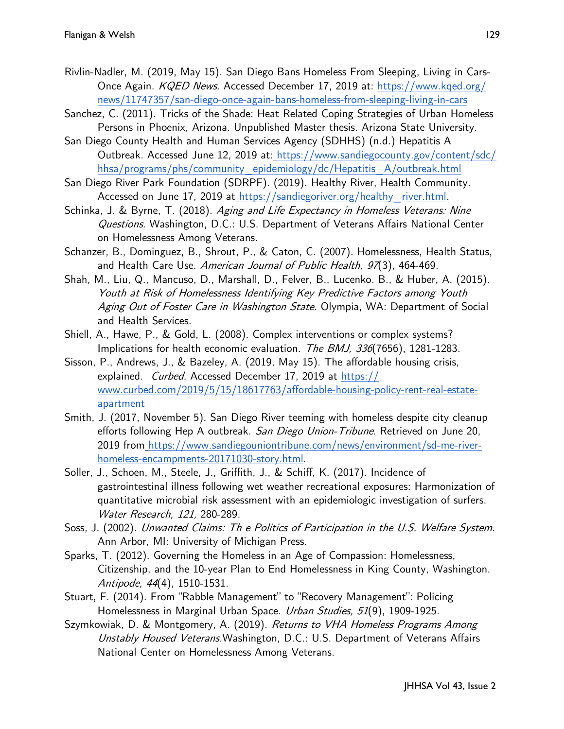- Rivlin-Nadler, M. (2019, May 15). San Diego Bans Homeless From Sleeping, Living in CarsOnce Again. KQED News. Accessed December 17, 2019 at: [https://www.kqed.org/](https://www.kqed.org/news/11747357/san-diego-once-again-bans-homeless-from-sleeping-living-in-cars) [news/11747357/san](https://www.kqed.org/news/11747357/san-diego-once-again-bans-homeless-from-sleeping-living-in-cars)-diego-once-again-bans-homeless-from-sleeping-living-in-cars
- Sanchez, C. (2011). Tricks of the Shade: Heat Related Coping Strategies of Urban Homeless Persons in Phoenix, Arizona. Unpublished Master thesis. Arizona State University.
- San Diego County Health and Human Services Agency (SDHHS) (n.d.) Hepatitis A Outbreak. Accessed June 12, 2019 at: [https://www.sandiegocounty.gov/content/sdc/](https://www.sandiegocounty.gov/content/sdc/hhsa/programs/phs/community_epidemiology/dc/Hepatitis_A/outbreak.html) [hhsa/programs/phs/community\\_epidemiology/dc/Hepatitis\\_A/outbreak.html](https://www.sandiegocounty.gov/content/sdc/hhsa/programs/phs/community_epidemiology/dc/Hepatitis_A/outbreak.html)
- San Diego River Park Foundation (SDRPF). (2019). Healthy River, Health Community. Accessed on June 17, 2019 at [https://sandiegoriver.org/healthy\\_river.html.](https://sandiegoriver.org/healthy_river.html)
- Schinka, J. & Byrne, T. (2018). Aging and Life Expectancy in Homeless Veterans: Nine Questions. Washington, D.C.: U.S. Department of Veterans Affairs National Center on Homelessness Among Veterans.
- Schanzer, B., Dominguez, B., Shrout, P., & Caton, C. (2007). Homelessness, Health Status, and Health Care Use. American Journal of Public Health, 97(3), 464-469.
- Shah, M., Liu, Q., Mancuso, D., Marshall, D., Felver, B., Lucenko. B., & Huber, A. (2015). Youth at Risk of Homelessness Identifying Key Predictive Factors among Youth Aging Out of Foster Care in Washington State. Olympia, WA: Department of Social and Health Services.
- Shiell, A., Hawe, P., & Gold, L. (2008). Complex interventions or complex systems? Implications for health economic evaluation. The BMJ, 336(7656), 1281-1283.
- Sisson, P., Andrews, J., & Bazeley, A. (2019, May 15). The affordable housing crisis, explained. Curbed. Accessed December 17, 2019 at [https://](https://www.curbed.com/2019/5/15/18617763/affordable-housing-policy-rent-real-estate-apartment) [www.curbed.com/2019/5/15/18617763/affordable](https://www.curbed.com/2019/5/15/18617763/affordable-housing-policy-rent-real-estate-apartment)-housing-policy-rent-real-estate[apartment](https://www.curbed.com/2019/5/15/18617763/affordable-housing-policy-rent-real-estate-apartment)
- Smith, J. (2017, November 5). San Diego River teeming with homeless despite city cleanup efforts following Hep A outbreak. San Diego Union-Tribune. Retrieved on June 20, 2019 from [https://www.sandiegouniontribune.com/news/environment/sd](https://www.sandiegouniontribune.com/news/environment/sd-me-river-homeless-encampments-20171030-story.html)-me-riverhomeless-[encampments](https://www.sandiegouniontribune.com/news/environment/sd-me-river-homeless-encampments-20171030-story.html)-20171030-story.html.
- Soller, J., Schoen, M., Steele, J., Griffith, J., & Schiff, K. (2017). Incidence of gastrointestinal illness following wet weather recreational exposures: Harmonization of quantitative microbial risk assessment with an epidemiologic investigation of surfers. Water Research, 121, 280-289.
- Soss, J. (2002). Unwanted Claims: Th e Politics of Participation in the U.S. Welfare System. Ann Arbor, MI: University of Michigan Press.
- Sparks, T. (2012). Governing the Homeless in an Age of Compassion: Homelessness, Citizenship, and the 10-year Plan to End Homelessness in King County, Washington. Antipode, 44(4), 1510-1531.
- Stuart, F. (2014). From "Rabble Management" to "Recovery Management": Policing Homelessness in Marginal Urban Space. Urban Studies, 51(9), 1909-1925.
- Szymkowiak, D. & Montgomery, A. (2019). Returns to VHA Homeless Programs Among Unstably Housed Veterans. Washington, D.C.: U.S. Department of Veterans Affairs National Center on Homelessness Among Veterans.